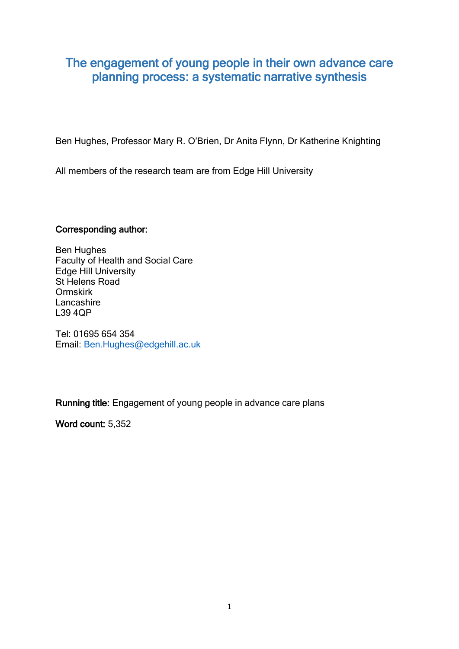# The engagement of young people in their own advance care planning process: a systematic narrative synthesis

Ben Hughes, Professor Mary R. O'Brien, Dr Anita Flynn, Dr Katherine Knighting

All members of the research team are from Edge Hill University

### Corresponding author:

Ben Hughes Faculty of Health and Social Care Edge Hill University St Helens Road Ormskirk **Lancashire** L39 4QP

Tel: 01695 654 354 Email: [Ben.Hughes@edgehill.ac.uk](mailto:Ben.Hughes@edgehill.ac.uk)

Running title: Engagement of young people in advance care plans

Word count: 5,352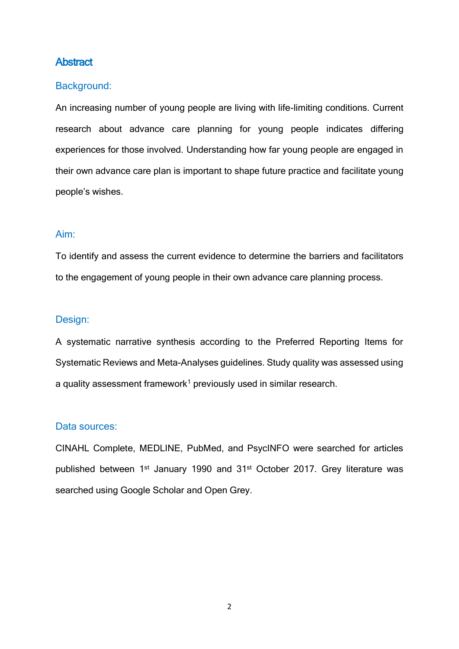# **Abstract**

#### Background:

An increasing number of young people are living with life-limiting conditions. Current research about advance care planning for young people indicates differing experiences for those involved. Understanding how far young people are engaged in their own advance care plan is important to shape future practice and facilitate young people's wishes.

#### Aim:

To identify and assess the current evidence to determine the barriers and facilitators to the engagement of young people in their own advance care planning process.

#### Design:

A systematic narrative synthesis according to the Preferred Reporting Items for Systematic Reviews and Meta-Analyses guidelines. Study quality was assessed using a quality assessment framework<sup>1</sup> previously used in similar research.

#### Data sources:

CINAHL Complete, MEDLINE, PubMed, and PsycINFO were searched for articles published between 1<sup>st</sup> January 1990 and 31<sup>st</sup> October 2017. Grey literature was searched using Google Scholar and Open Grey.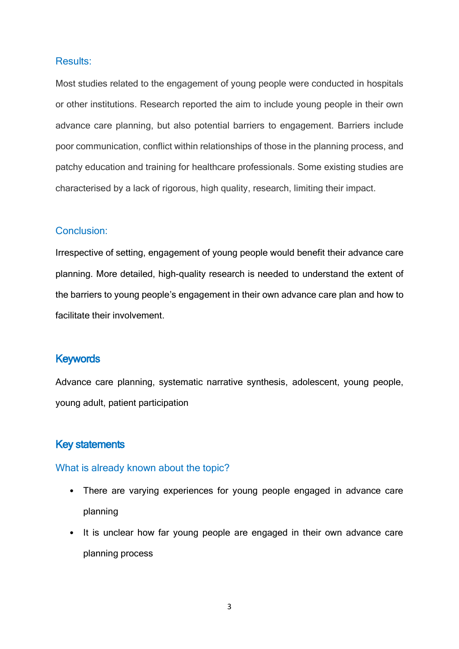#### Results:

Most studies related to the engagement of young people were conducted in hospitals or other institutions. Research reported the aim to include young people in their own advance care planning, but also potential barriers to engagement. Barriers include poor communication, conflict within relationships of those in the planning process, and patchy education and training for healthcare professionals. Some existing studies are characterised by a lack of rigorous, high quality, research, limiting their impact.

#### Conclusion:

Irrespective of setting, engagement of young people would benefit their advance care planning. More detailed, high-quality research is needed to understand the extent of the barriers to young people's engagement in their own advance care plan and how to facilitate their involvement.

# **Keywords**

Advance care planning, systematic narrative synthesis, adolescent, young people, young adult, patient participation

#### Key statements

#### What is already known about the topic?

- There are varying experiences for young people engaged in advance care planning
- It is unclear how far young people are engaged in their own advance care planning process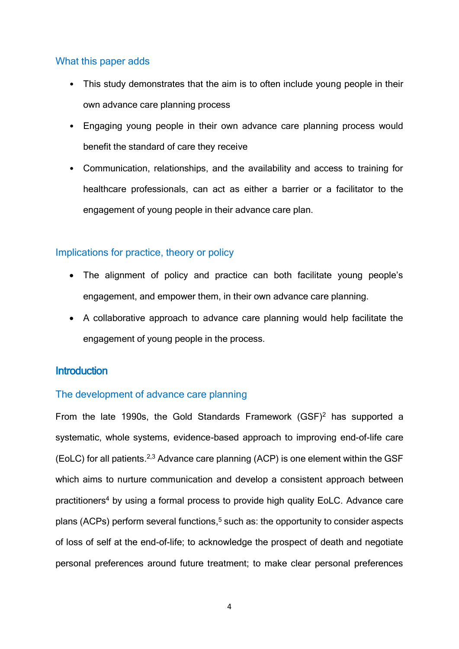## What this paper adds

- This study demonstrates that the aim is to often include young people in their own advance care planning process
- Engaging young people in their own advance care planning process would benefit the standard of care they receive
- Communication, relationships, and the availability and access to training for healthcare professionals, can act as either a barrier or a facilitator to the engagement of young people in their advance care plan.

# Implications for practice, theory or policy

- The alignment of policy and practice can both facilitate young people's engagement, and empower them, in their own advance care planning.
- A collaborative approach to advance care planning would help facilitate the engagement of young people in the process.

# **Introduction**

# The development of advance care planning

From the late 1990s, the Gold Standards Framework (GSF)<sup>2</sup> has supported a systematic, whole systems, evidence-based approach to improving end-of-life care (EoLC) for all patients. 2,3 Advance care planning (ACP) is one element within the GSF which aims to nurture communication and develop a consistent approach between practitioners<sup>4</sup> by using a formal process to provide high quality EoLC. Advance care plans (ACPs) perform several functions,<sup>5</sup> such as: the opportunity to consider aspects of loss of self at the end-of-life; to acknowledge the prospect of death and negotiate personal preferences around future treatment; to make clear personal preferences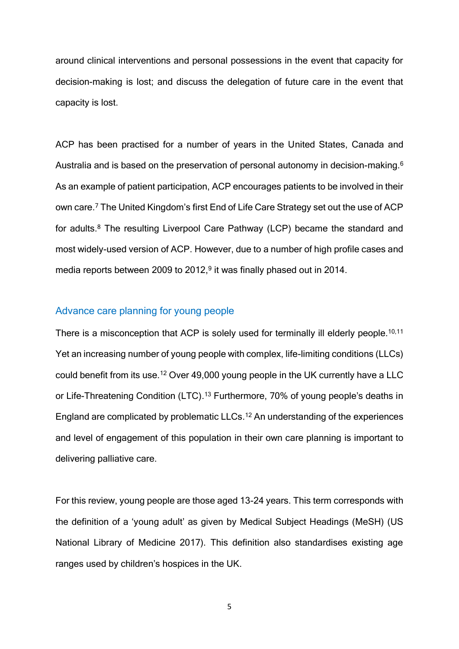around clinical interventions and personal possessions in the event that capacity for decision-making is lost; and discuss the delegation of future care in the event that capacity is lost.

ACP has been practised for a number of years in the United States, Canada and Australia and is based on the preservation of personal autonomy in decision-making.<sup>6</sup> As an example of patient participation, ACP encourages patients to be involved in their own care.<sup>7</sup> The United Kingdom's first End of Life Care Strategy set out the use of ACP for adults. <sup>8</sup> The resulting Liverpool Care Pathway (LCP) became the standard and most widely-used version of ACP. However, due to a number of high profile cases and media reports between 2009 to 2012, 9 it was finally phased out in 2014.

#### Advance care planning for young people

There is a misconception that ACP is solely used for terminally ill elderly people.<sup>10,11</sup> Yet an increasing number of young people with complex, life-limiting conditions (LLCs) could benefit from its use.<sup>12</sup> Over 49,000 young people in the UK currently have a LLC or Life-Threatening Condition (LTC).<sup>13</sup> Furthermore, 70% of young people's deaths in England are complicated by problematic LLCs. <sup>12</sup> An understanding of the experiences and level of engagement of this population in their own care planning is important to delivering palliative care.

For this review, young people are those aged 13-24 years. This term corresponds with the definition of a 'young adult' as given by Medical Subject Headings (MeSH) (US National Library of Medicine 2017). This definition also standardises existing age ranges used by children's hospices in the UK.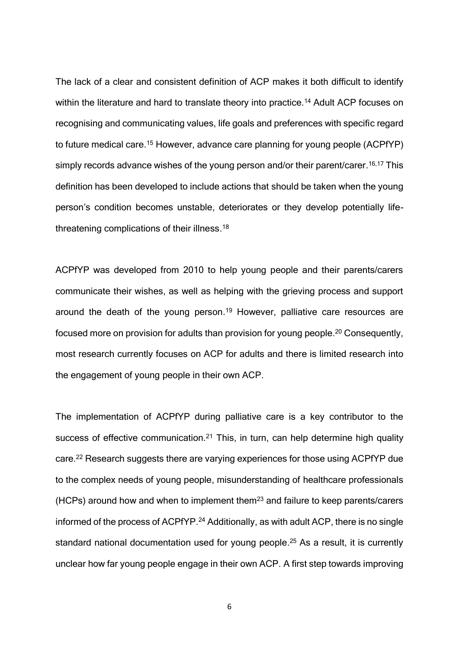The lack of a clear and consistent definition of ACP makes it both difficult to identify within the literature and hard to translate theory into practice.<sup>14</sup> Adult ACP focuses on recognising and communicating values, life goals and preferences with specific regard to future medical care.<sup>15</sup> However, advance care planning for young people (ACPfYP) simply records advance wishes of the young person and/or their parent/carer.<sup>16,17</sup> This definition has been developed to include actions that should be taken when the young person's condition becomes unstable, deteriorates or they develop potentially lifethreatening complications of their illness.<sup>18</sup>

ACPfYP was developed from 2010 to help young people and their parents/carers communicate their wishes, as well as helping with the grieving process and support around the death of the young person. <sup>19</sup> However, palliative care resources are focused more on provision for adults than provision for young people.<sup>20</sup> Consequently, most research currently focuses on ACP for adults and there is limited research into the engagement of young people in their own ACP.

The implementation of ACPfYP during palliative care is a key contributor to the success of effective communication.<sup>21</sup> This, in turn, can help determine high quality care. <sup>22</sup> Research suggests there are varying experiences for those using ACPfYP due to the complex needs of young people, misunderstanding of healthcare professionals (HCPs) around how and when to implement them<sup>23</sup> and failure to keep parents/carers informed of the process of ACPfYP. <sup>24</sup> Additionally, as with adult ACP, there is no single standard national documentation used for young people. <sup>25</sup> As a result, it is currently unclear how far young people engage in their own ACP. A first step towards improving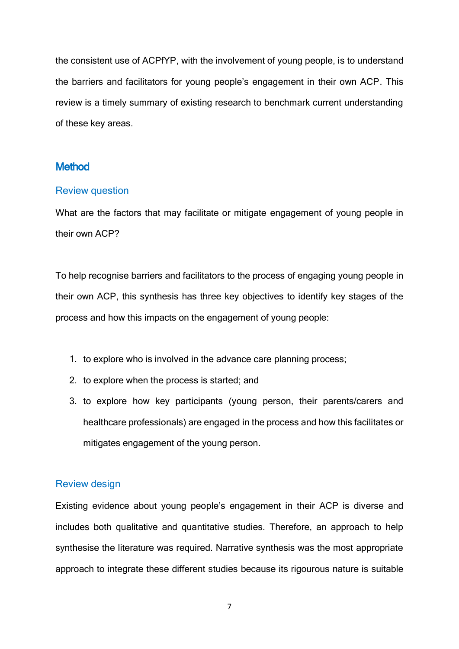the consistent use of ACPfYP, with the involvement of young people, is to understand the barriers and facilitators for young people's engagement in their own ACP. This review is a timely summary of existing research to benchmark current understanding of these key areas.

# **Method**

#### Review question

What are the factors that may facilitate or mitigate engagement of young people in their own ACP?

To help recognise barriers and facilitators to the process of engaging young people in their own ACP, this synthesis has three key objectives to identify key stages of the process and how this impacts on the engagement of young people:

- 1. to explore who is involved in the advance care planning process;
- 2. to explore when the process is started; and
- 3. to explore how key participants (young person, their parents/carers and healthcare professionals) are engaged in the process and how this facilitates or mitigates engagement of the young person.

#### Review design

Existing evidence about young people's engagement in their ACP is diverse and includes both qualitative and quantitative studies. Therefore, an approach to help synthesise the literature was required. Narrative synthesis was the most appropriate approach to integrate these different studies because its rigourous nature is suitable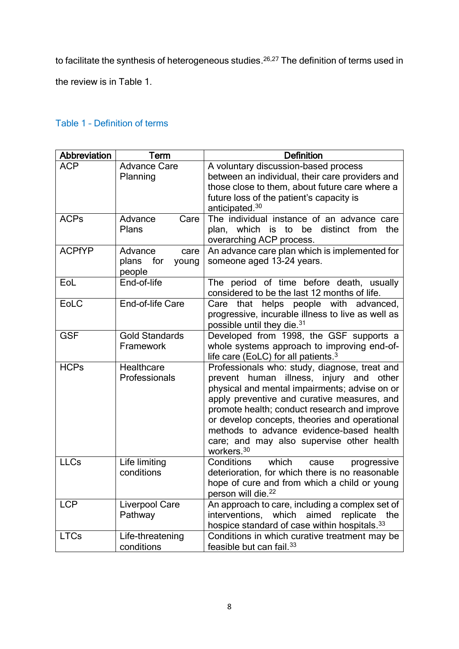to facilitate the synthesis of heterogeneous studies.<sup>26,27</sup> The definition of terms used in

the review is in Table 1.

# Table 1 – Definition of terms

| Abbreviation  | Term                                               | <b>Definition</b>                                                                                                                                                                                                                                                                                                                                                                                            |  |  |  |  |  |
|---------------|----------------------------------------------------|--------------------------------------------------------------------------------------------------------------------------------------------------------------------------------------------------------------------------------------------------------------------------------------------------------------------------------------------------------------------------------------------------------------|--|--|--|--|--|
| <b>ACP</b>    | <b>Advance Care</b><br>Planning                    | A voluntary discussion-based process<br>between an individual, their care providers and<br>those close to them, about future care where a<br>future loss of the patient's capacity is<br>anticipated. <sup>30</sup>                                                                                                                                                                                          |  |  |  |  |  |
| <b>ACPs</b>   | Advance<br>Care<br>Plans                           | The individual instance of an advance care<br>plan, which is to be distinct from<br>the<br>overarching ACP process.                                                                                                                                                                                                                                                                                          |  |  |  |  |  |
| <b>ACPfYP</b> | Advance<br>care<br>plans<br>for<br>young<br>people | An advance care plan which is implemented for<br>someone aged 13-24 years.                                                                                                                                                                                                                                                                                                                                   |  |  |  |  |  |
| EoL           | End-of-life                                        | The period of time before death, usually<br>considered to be the last 12 months of life.                                                                                                                                                                                                                                                                                                                     |  |  |  |  |  |
| EoLC          | End-of-life Care                                   | helps people with advanced,<br>Care that<br>progressive, incurable illness to live as well as<br>possible until they die. <sup>31</sup>                                                                                                                                                                                                                                                                      |  |  |  |  |  |
| <b>GSF</b>    | <b>Gold Standards</b><br>Framework                 | Developed from 1998, the GSF supports a<br>whole systems approach to improving end-of-<br>life care (EoLC) for all patients. <sup>3</sup>                                                                                                                                                                                                                                                                    |  |  |  |  |  |
| <b>HCPs</b>   | Healthcare<br>Professionals                        | Professionals who: study, diagnose, treat and<br>prevent human illness, injury and other<br>physical and mental impairments; advise on or<br>apply preventive and curative measures, and<br>promote health; conduct research and improve<br>or develop concepts, theories and operational<br>methods to advance evidence-based health<br>care; and may also supervise other health<br>workers. <sup>30</sup> |  |  |  |  |  |
| <b>LLCs</b>   | Life limiting<br>conditions                        | Conditions<br>which<br>cause<br>progressive<br>deterioration, for which there is no reasonable<br>hope of cure and from which a child or young<br>person will die. <sup>22</sup>                                                                                                                                                                                                                             |  |  |  |  |  |
| <b>LCP</b>    | Liverpool Care<br>Pathway                          | An approach to care, including a complex set of<br>which<br>aimed<br>interventions,<br>replicate<br>the<br>hospice standard of case within hospitals. 33                                                                                                                                                                                                                                                     |  |  |  |  |  |
| <b>LTCs</b>   | Life-threatening<br>conditions                     | Conditions in which curative treatment may be<br>feasible but can fail. <sup>33</sup>                                                                                                                                                                                                                                                                                                                        |  |  |  |  |  |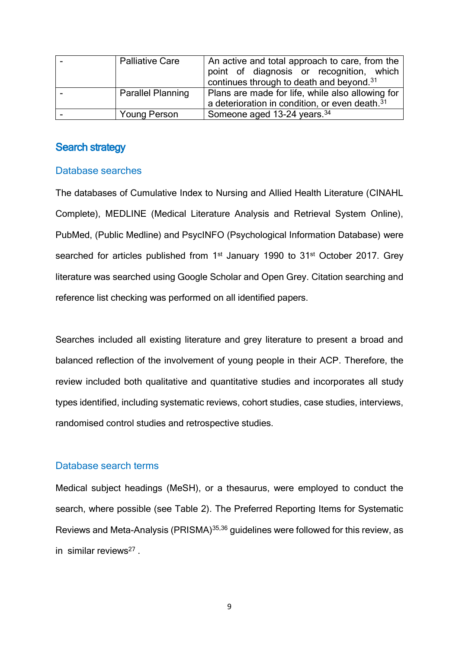| <b>Palliative Care</b>   | An active and total approach to care, from the             |  |  |  |  |  |  |
|--------------------------|------------------------------------------------------------|--|--|--|--|--|--|
|                          | point of diagnosis or recognition, which                   |  |  |  |  |  |  |
|                          | continues through to death and beyond. <sup>31</sup>       |  |  |  |  |  |  |
| <b>Parallel Planning</b> | Plans are made for life, while also allowing for           |  |  |  |  |  |  |
|                          | a deterioration in condition, or even death. <sup>31</sup> |  |  |  |  |  |  |
| <b>Young Person</b>      | Someone aged 13-24 years. <sup>34</sup>                    |  |  |  |  |  |  |

# Search strategy

#### Database searches

The databases of Cumulative Index to Nursing and Allied Health Literature (CINAHL Complete), MEDLINE (Medical Literature Analysis and Retrieval System Online), PubMed, (Public Medline) and PsycINFO (Psychological Information Database) were searched for articles published from 1<sup>st</sup> January 1990 to 31<sup>st</sup> October 2017. Grey literature was searched using Google Scholar and Open Grey. Citation searching and reference list checking was performed on all identified papers.

Searches included all existing literature and grey literature to present a broad and balanced reflection of the involvement of young people in their ACP. Therefore, the review included both qualitative and quantitative studies and incorporates all study types identified, including systematic reviews, cohort studies, case studies, interviews, randomised control studies and retrospective studies.

#### Database search terms

Medical subject headings (MeSH), or a thesaurus, were employed to conduct the search, where possible (see Table 2). The Preferred Reporting Items for Systematic Reviews and Meta-Analysis (PRISMA)35,36 guidelines were followed for this review, as in similar reviews<sup>27</sup>.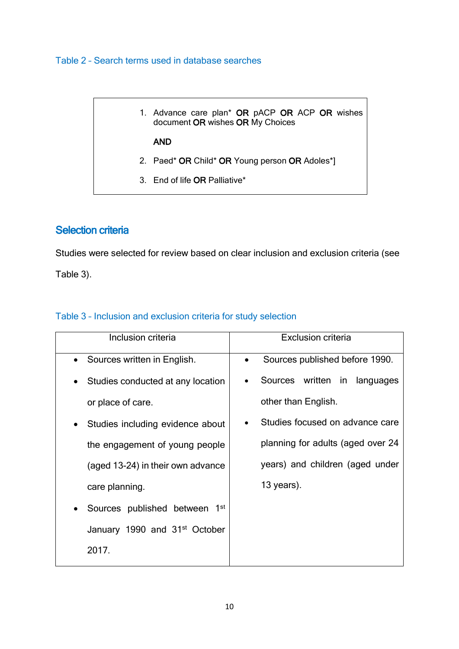## Table 2 – Search terms used in database searches

# 1. Advance care plan\* OR pACP OR ACP OR wishes document OR wishes OR My Choices AND 2. Paed\* OR Child\* OR Young person OR Adoles\*] 3. End of life OR Palliative\*

# Selection criteria

Studies were selected for review based on clear inclusion and exclusion criteria (see Table 3).

| Table 3 - Inclusion and exclusion criteria for study selection |  |  |  |  |  |
|----------------------------------------------------------------|--|--|--|--|--|
|----------------------------------------------------------------|--|--|--|--|--|

| Inclusion criteria                        | <b>Exclusion criteria</b>                   |  |  |  |  |  |
|-------------------------------------------|---------------------------------------------|--|--|--|--|--|
| Sources written in English.               | Sources published before 1990.<br>$\bullet$ |  |  |  |  |  |
| Studies conducted at any location         | Sources written in languages                |  |  |  |  |  |
| or place of care.                         | other than English.                         |  |  |  |  |  |
| Studies including evidence about          | Studies focused on advance care             |  |  |  |  |  |
| the engagement of young people            | planning for adults (aged over 24           |  |  |  |  |  |
| (aged 13-24) in their own advance         | years) and children (aged under             |  |  |  |  |  |
| care planning.                            | 13 years).                                  |  |  |  |  |  |
| Sources published between<br>1st          |                                             |  |  |  |  |  |
| January 1990 and 31 <sup>st</sup> October |                                             |  |  |  |  |  |
| 2017.                                     |                                             |  |  |  |  |  |
|                                           |                                             |  |  |  |  |  |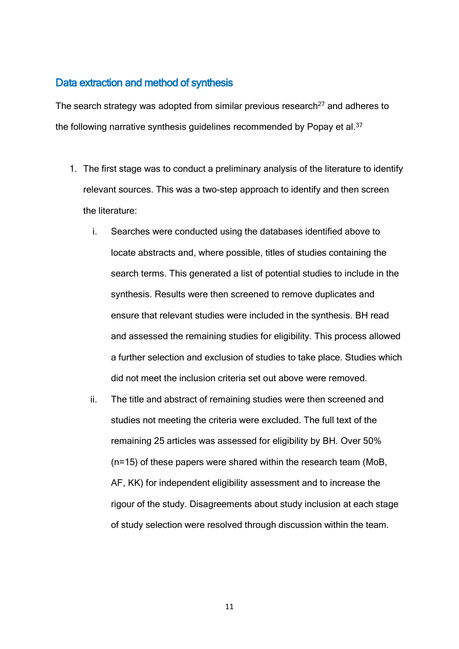# Data extraction and method of synthesis

The search strategy was adopted from similar previous research $27$  and adheres to the following narrative synthesis guidelines recommended by Popay et al.<sup>37</sup>

- 1. The first stage was to conduct a preliminary analysis of the literature to identify relevant sources. This was a two-step approach to identify and then screen the literature:
	- i. Searches were conducted using the databases identified above to locate abstracts and, where possible, titles of studies containing the search terms. This generated a list of potential studies to include in the synthesis. Results were then screened to remove duplicates and ensure that relevant studies were included in the synthesis. BH read and assessed the remaining studies for eligibility. This process allowed a further selection and exclusion of studies to take place. Studies which did not meet the inclusion criteria set out above were removed.
	- ii. The title and abstract of remaining studies were then screened and studies not meeting the criteria were excluded. The full text of the remaining 25 articles was assessed for eligibility by BH. Over 50% (n=15) of these papers were shared within the research team (MoB, AF, KK) for independent eligibility assessment and to increase the rigour of the study. Disagreements about study inclusion at each stage of study selection were resolved through discussion within the team.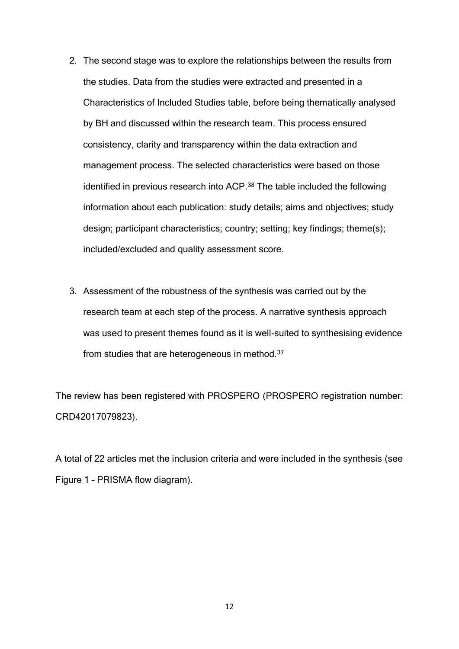- 2. The second stage was to explore the relationships between the results from the studies. Data from the studies were extracted and presented in a Characteristics of Included Studies table, before being thematically analysed by BH and discussed within the research team. This process ensured consistency, clarity and transparency within the data extraction and management process. The selected characteristics were based on those identified in previous research into ACP. <sup>38</sup> The table included the following information about each publication: study details; aims and objectives; study design; participant characteristics; country; setting; key findings; theme(s); included/excluded and quality assessment score.
- 3. Assessment of the robustness of the synthesis was carried out by the research team at each step of the process. A narrative synthesis approach was used to present themes found as it is well-suited to synthesising evidence from studies that are heterogeneous in method.<sup>37</sup>

The review has been registered with PROSPERO (PROSPERO registration number: CRD42017079823).

A total of 22 articles met the inclusion criteria and were included in the synthesis (see Figure 1 – PRISMA flow diagram).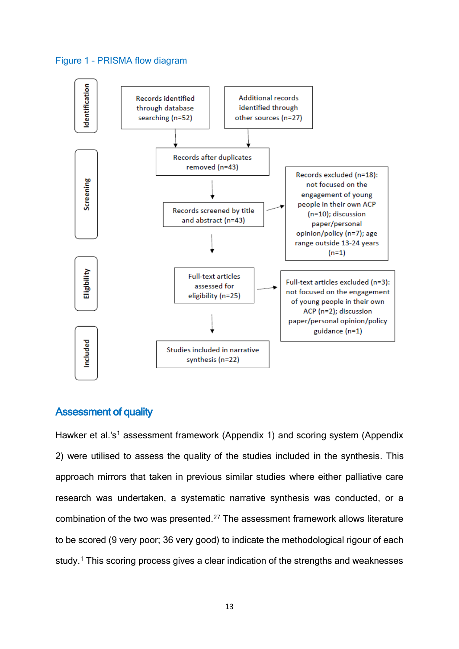#### Figure 1 – PRISMA flow diagram



### Assessment of quality

Hawker et al.'s<sup>1</sup> assessment framework (Appendix 1) and scoring system (Appendix 2) were utilised to assess the quality of the studies included in the synthesis. This approach mirrors that taken in previous similar studies where either palliative care research was undertaken, a systematic narrative synthesis was conducted, or a combination of the two was presented. <sup>27</sup> The assessment framework allows literature to be scored (9 very poor; 36 very good) to indicate the methodological rigour of each study.<sup>1</sup> This scoring process gives a clear indication of the strengths and weaknesses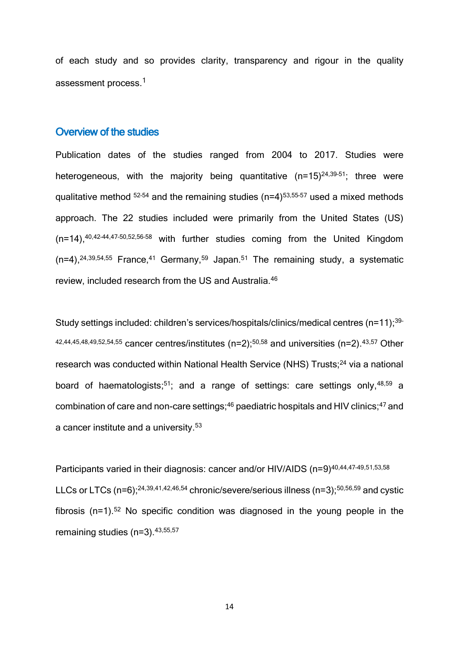of each study and so provides clarity, transparency and rigour in the quality assessment process.<sup>1</sup>

#### Overview of the studies

Publication dates of the studies ranged from 2004 to 2017. Studies were heterogeneous, with the majority being quantitative (n=15)<sup>24,39-51</sup>; three were qualitative method  $52-54$  and the remaining studies (n=4) $53,55-57$  used a mixed methods approach. The 22 studies included were primarily from the United States (US)  $(n=14)$ ,  $40,42-44,47-50,52,56-58$  with further studies coming from the United Kingdom  $(n=4)$ ,  $^{24,39,54,55}$  France,  $^{41}$  Germany,  $^{59}$  Japan.  $^{51}$  The remaining study, a systematic review, included research from the US and Australia.<sup>46</sup>

Study settings included: children's services/hospitals/clinics/medical centres (n=11);<sup>39-</sup>  $42,44,45,48,49,52,54,55$  cancer centres/institutes (n=2);<sup>50,58</sup> and universities (n=2).<sup>43,57</sup> Other research was conducted within National Health Service (NHS) Trusts;<sup>24</sup> via a national board of haematologists;<sup>51</sup>; and a range of settings: care settings only,<sup>48,59</sup> a combination of care and non-care settings;<sup>46</sup> paediatric hospitals and HIV clinics;<sup>47</sup> and a cancer institute and a university.<sup>53</sup>

Participants varied in their diagnosis: cancer and/or HIV/AIDS (n=9)<sup>40,44,47-49,51,53,58</sup> LLCs or LTCs (n=6);<sup>24,39,41,42,46,54</sup> chronic/severe/serious illness (n=3);<sup>50,56,59</sup> and cystic fibrosis ( $n=1$ ).<sup>52</sup> No specific condition was diagnosed in the young people in the remaining studies (n=3).43,55,57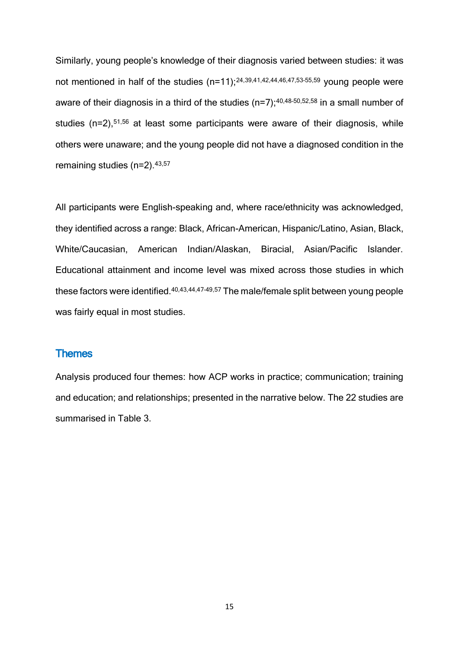Similarly, young people's knowledge of their diagnosis varied between studies: it was not mentioned in half of the studies  $(n=11)$ ;<sup>24,39,41,42,44,46,47,53-55,59</sup> young people were aware of their diagnosis in a third of the studies  $(n=7);^{40,48-50,52,58}$  in a small number of studies  $(n=2)$ ,<sup>51,56</sup> at least some participants were aware of their diagnosis, while others were unaware; and the young people did not have a diagnosed condition in the remaining studies (n=2).<sup>43,57</sup>

All participants were English-speaking and, where race/ethnicity was acknowledged, they identified across a range: Black, African-American, Hispanic/Latino, Asian, Black, White/Caucasian, American Indian/Alaskan, Biracial, Asian/Pacific Islander. Educational attainment and income level was mixed across those studies in which these factors were identified.40,43,44,47–49,57 The male/female split between young people was fairly equal in most studies.

#### **Themes**

Analysis produced four themes: how ACP works in practice; communication; training and education; and relationships; presented in the narrative below. The 22 studies are summarised in Table 3.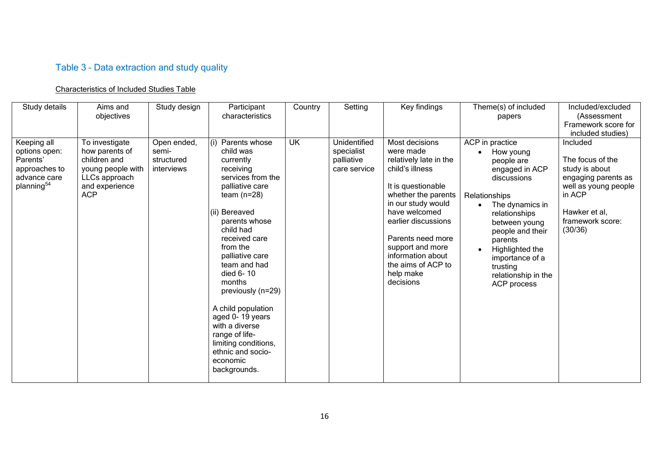# Table 3 – Data extraction and study quality

### Characteristics of Included Studies Table

| Study details                                                                                       | Aims and<br>objectives                                                                                                 | Study design                                     | Participant<br>characteristics                                                                                                                                                                                                                                                                                                                                                                                                        | Country   | Setting                                                  | Key findings                                                                                                                                                                                                                                                                                      | Theme(s) of included<br>papers                                                                                                                                                                                                                                           | Included/excluded<br>(Assessment<br>Framework score for<br>included studies)                                                                            |
|-----------------------------------------------------------------------------------------------------|------------------------------------------------------------------------------------------------------------------------|--------------------------------------------------|---------------------------------------------------------------------------------------------------------------------------------------------------------------------------------------------------------------------------------------------------------------------------------------------------------------------------------------------------------------------------------------------------------------------------------------|-----------|----------------------------------------------------------|---------------------------------------------------------------------------------------------------------------------------------------------------------------------------------------------------------------------------------------------------------------------------------------------------|--------------------------------------------------------------------------------------------------------------------------------------------------------------------------------------------------------------------------------------------------------------------------|---------------------------------------------------------------------------------------------------------------------------------------------------------|
| Keeping all<br>options open:<br>Parents'<br>approaches to<br>advance care<br>planning <sup>54</sup> | To investigate<br>how parents of<br>children and<br>young people with<br>LLCs approach<br>and experience<br><b>ACP</b> | Open ended,<br>semi-<br>structured<br>interviews | Parents whose<br>(i)<br>child was<br>currently<br>receiving<br>services from the<br>palliative care<br>team $(n=28)$<br>(ii) Bereaved<br>parents whose<br>child had<br>received care<br>from the<br>palliative care<br>team and had<br>died 6-10<br>months<br>previously (n=29)<br>A child population<br>aged 0-19 years<br>with a diverse<br>range of life-<br>limiting conditions,<br>ethnic and socio-<br>economic<br>backgrounds. | <b>UK</b> | Unidentified<br>specialist<br>palliative<br>care service | Most decisions<br>were made<br>relatively late in the<br>child's illness<br>It is questionable<br>whether the parents<br>in our study would<br>have welcomed<br>earlier discussions<br>Parents need more<br>support and more<br>information about<br>the aims of ACP to<br>help make<br>decisions | ACP in practice<br>How young<br>people are<br>engaged in ACP<br>discussions<br>Relationships<br>The dynamics in<br>relationships<br>between young<br>people and their<br>parents<br>Highlighted the<br>importance of a<br>trusting<br>relationship in the<br>ACP process | Included<br>The focus of the<br>study is about<br>engaging parents as<br>well as young people<br>in ACP<br>Hawker et al,<br>framework score:<br>(30/36) |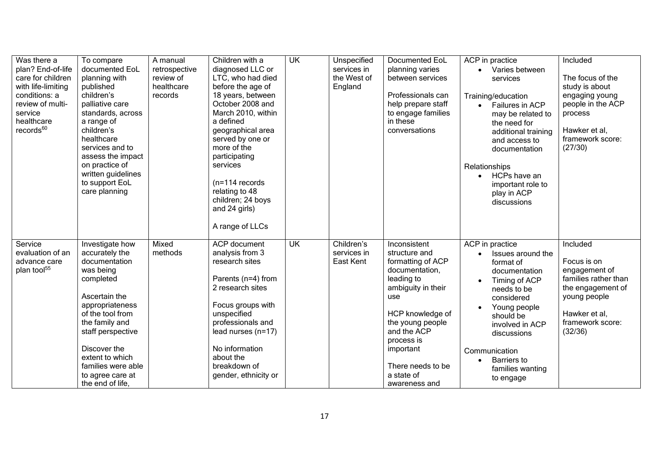| Was there a<br>plan? End-of-life<br>care for children<br>with life-limiting<br>conditions: a<br>review of multi-<br>service<br>healthcare<br>records <sup>60</sup> | To compare<br>documented EoL<br>planning with<br>published<br>children's<br>palliative care<br>standards, across<br>a range of<br>children's<br>healthcare<br>services and to<br>assess the impact<br>on practice of<br>written guidelines<br>to support EoL<br>care planning | A manual<br>retrospective<br>review of<br>healthcare<br>records | Children with a<br>diagnosed LLC or<br>LTC, who had died<br>before the age of<br>18 years, between<br>October 2008 and<br>March 2010, within<br>a defined<br>geographical area<br>served by one or<br>more of the<br>participating<br>services<br>$(n=114$ records<br>relating to 48<br>children; 24 boys<br>and 24 girls)<br>A range of LLCs | <b>UK</b> | Unspecified<br>services in<br>the West of<br>England | <b>Documented EoL</b><br>planning varies<br>between services<br>Professionals can<br>help prepare staff<br>to engage families<br>in these<br>conversations                                                                                                   | ACP in practice<br>Varies between<br>services<br>Training/education<br>Failures in ACP<br>may be related to<br>the need for<br>additional training<br>and access to<br>documentation<br>Relationships<br>HCPs have an<br>important role to<br>play in ACP<br>discussions | Included<br>The focus of the<br>study is about<br>engaging young<br>people in the ACP<br>process<br>Hawker et al,<br>framework score:<br>(27/30)      |
|--------------------------------------------------------------------------------------------------------------------------------------------------------------------|-------------------------------------------------------------------------------------------------------------------------------------------------------------------------------------------------------------------------------------------------------------------------------|-----------------------------------------------------------------|-----------------------------------------------------------------------------------------------------------------------------------------------------------------------------------------------------------------------------------------------------------------------------------------------------------------------------------------------|-----------|------------------------------------------------------|--------------------------------------------------------------------------------------------------------------------------------------------------------------------------------------------------------------------------------------------------------------|--------------------------------------------------------------------------------------------------------------------------------------------------------------------------------------------------------------------------------------------------------------------------|-------------------------------------------------------------------------------------------------------------------------------------------------------|
| Service<br>evaluation of an<br>advance care<br>plan tool <sup>55</sup>                                                                                             | Investigate how<br>accurately the<br>documentation<br>was being<br>completed<br>Ascertain the<br>appropriateness<br>of the tool from<br>the family and<br>staff perspective<br>Discover the<br>extent to which<br>families were able<br>to agree care at<br>the end of life,  | Mixed<br>methods                                                | <b>ACP</b> document<br>analysis from 3<br>research sites<br>Parents (n=4) from<br>2 research sites<br>Focus groups with<br>unspecified<br>professionals and<br>lead nurses $(n=17)$<br>No information<br>about the<br>breakdown of<br>gender, ethnicity or                                                                                    | UK        | Children's<br>services in<br>East Kent               | Inconsistent<br>structure and<br>formatting of ACP<br>documentation,<br>leading to<br>ambiguity in their<br><b>use</b><br>HCP knowledge of<br>the young people<br>and the ACP<br>process is<br>important<br>There needs to be<br>a state of<br>awareness and | ACP in practice<br>Issues around the<br>format of<br>documentation<br>Timing of ACP<br>needs to be<br>considered<br>Young people<br>should be<br>involved in ACP<br>discussions<br>Communication<br><b>Barriers</b> to<br>families wanting<br>to engage                  | Included<br>Focus is on<br>engagement of<br>families rather than<br>the engagement of<br>young people<br>Hawker et al,<br>framework score:<br>(32/36) |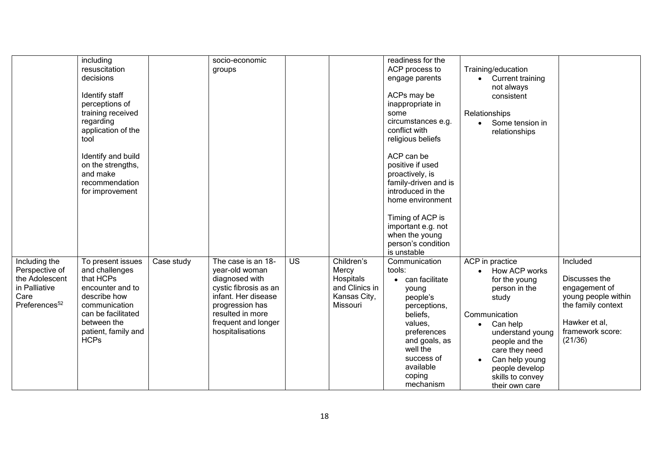| including                                  |            |                       |           |                | readiness for the    |                    |                     |
|--------------------------------------------|------------|-----------------------|-----------|----------------|----------------------|--------------------|---------------------|
|                                            |            | socio-economic        |           |                |                      |                    |                     |
| resuscitation                              |            | groups                |           |                | ACP process to       | Training/education |                     |
| decisions                                  |            |                       |           |                | engage parents       | • Current training |                     |
|                                            |            |                       |           |                |                      | not always         |                     |
| Identify staff                             |            |                       |           |                | ACPs may be          | consistent         |                     |
| perceptions of                             |            |                       |           |                | inappropriate in     |                    |                     |
| training received                          |            |                       |           |                | some                 | Relationships      |                     |
| regarding                                  |            |                       |           |                | circumstances e.g.   | • Some tension in  |                     |
| application of the                         |            |                       |           |                | conflict with        | relationships      |                     |
| tool                                       |            |                       |           |                | religious beliefs    |                    |                     |
|                                            |            |                       |           |                |                      |                    |                     |
| Identify and build                         |            |                       |           |                | ACP can be           |                    |                     |
| on the strengths,                          |            |                       |           |                | positive if used     |                    |                     |
| and make                                   |            |                       |           |                | proactively, is      |                    |                     |
| recommendation                             |            |                       |           |                | family-driven and is |                    |                     |
|                                            |            |                       |           |                | introduced in the    |                    |                     |
| for improvement                            |            |                       |           |                |                      |                    |                     |
|                                            |            |                       |           |                | home environment     |                    |                     |
|                                            |            |                       |           |                | Timing of ACP is     |                    |                     |
|                                            |            |                       |           |                | important e.g. not   |                    |                     |
|                                            |            |                       |           |                | when the young       |                    |                     |
|                                            |            |                       |           |                | person's condition   |                    |                     |
|                                            |            |                       |           |                | is unstable          |                    |                     |
| Including the<br>To present issues         | Case study | The case is an 18-    | <b>US</b> | Children's     | Communication        | ACP in practice    | Included            |
| Perspective of<br>and challenges           |            | year-old woman        |           | Mercy          | tools:               | How ACP works      |                     |
| the Adolescent<br>that HCPs                |            | diagnosed with        |           | Hospitals      | can facilitate       | for the young      | Discusses the       |
| in Palliative<br>encounter and to          |            | cystic fibrosis as an |           | and Clinics in |                      | person in the      | engagement of       |
| describe how<br>Care                       |            | infant. Her disease   |           | Kansas City,   | young                |                    | young people within |
| Preferences <sup>52</sup><br>communication |            |                       |           | Missouri       | people's             | study              |                     |
|                                            |            | progression has       |           |                | perceptions,         |                    | the family context  |
| can be facilitated                         |            | resulted in more      |           |                | beliefs,             | Communication      |                     |
| between the                                |            | frequent and longer   |           |                | values,              | Can help           | Hawker et al,       |
| patient, family and                        |            | hospitalisations      |           |                | preferences          | understand young   | framework score:    |
| <b>HCPs</b>                                |            |                       |           |                | and goals, as        | people and the     | (21/36)             |
|                                            |            |                       |           |                | well the             | care they need     |                     |
|                                            |            |                       |           |                | success of           | Can help young     |                     |
|                                            |            |                       |           |                | available            | people develop     |                     |
|                                            |            |                       |           |                | coping               | skills to convey   |                     |
|                                            |            |                       |           |                | mechanism            | their own care     |                     |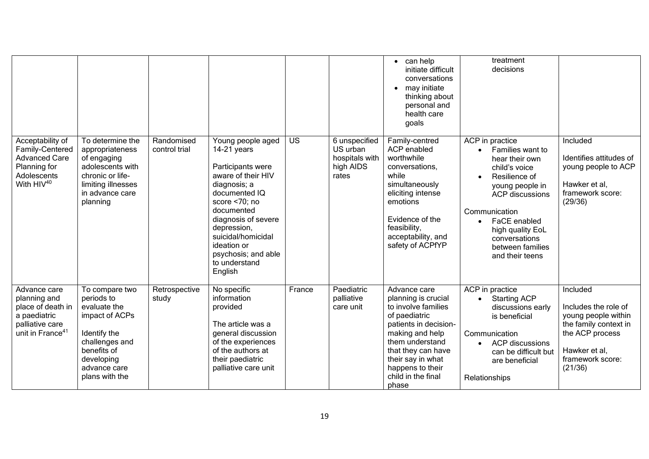|                                                                                                                      |                                                                                                                                                                 |                             |                                                                                                                                                                                                                                                                                 |           |                                                                   | $\bullet$ can help<br>initiate difficult<br>conversations<br>may initiate<br>$\bullet$<br>thinking about<br>personal and<br>health care<br>goals                                                                                         | treatment<br>decisions                                                                                                                                                                                                                                           |                                                                                                                                                     |
|----------------------------------------------------------------------------------------------------------------------|-----------------------------------------------------------------------------------------------------------------------------------------------------------------|-----------------------------|---------------------------------------------------------------------------------------------------------------------------------------------------------------------------------------------------------------------------------------------------------------------------------|-----------|-------------------------------------------------------------------|------------------------------------------------------------------------------------------------------------------------------------------------------------------------------------------------------------------------------------------|------------------------------------------------------------------------------------------------------------------------------------------------------------------------------------------------------------------------------------------------------------------|-----------------------------------------------------------------------------------------------------------------------------------------------------|
| Acceptability of<br>Family-Centered<br><b>Advanced Care</b><br>Planning for<br>Adolescents<br>With $HIV^{40}$        | To determine the<br>appropriateness<br>of engaging<br>adolescents with<br>chronic or life-<br>limiting illnesses<br>in advance care<br>planning                 | Randomised<br>control trial | Young people aged<br>$14-21$ years<br>Participants were<br>aware of their HIV<br>diagnosis; a<br>documented IQ<br>score $< 70$ ; no<br>documented<br>diagnosis of severe<br>depression,<br>suicidal/homicidal<br>ideation or<br>psychosis; and able<br>to understand<br>English | <b>US</b> | 6 unspecified<br>US urban<br>hospitals with<br>high AIDS<br>rates | Family-centred<br>ACP enabled<br>worthwhile<br>conversations,<br>while<br>simultaneously<br>eliciting intense<br>emotions<br>Evidence of the<br>feasibility,<br>acceptability, and<br>safety of ACPfYP                                   | ACP in practice<br>• Families want to<br>hear their own<br>child's voice<br>Resilience of<br>young people in<br><b>ACP</b> discussions<br>Communication<br>FaCE enabled<br>$\bullet$<br>high quality EoL<br>conversations<br>between families<br>and their teens | Included<br>Identifies attitudes of<br>young people to ACP<br>Hawker et al,<br>framework score:<br>(29/36)                                          |
| Advance care<br>planning and<br>place of death in<br>a paediatric<br>palliative care<br>unit in France <sup>41</sup> | To compare two<br>periods to<br>evaluate the<br>impact of ACPs<br>Identify the<br>challenges and<br>benefits of<br>developing<br>advance care<br>plans with the | Retrospective<br>study      | No specific<br>information<br>provided<br>The article was a<br>general discussion<br>of the experiences<br>of the authors at<br>their paediatric<br>palliative care unit                                                                                                        | France    | Paediatric<br>palliative<br>care unit                             | Advance care<br>planning is crucial<br>to involve families<br>of paediatric<br>patients in decision-<br>making and help<br>them understand<br>that they can have<br>their say in what<br>happens to their<br>child in the final<br>phase | ACP in practice<br><b>Starting ACP</b><br>discussions early<br>is beneficial<br>Communication<br><b>ACP</b> discussions<br>can be difficult but<br>are beneficial<br>Relationships                                                                               | Included<br>Includes the role of<br>young people within<br>the family context in<br>the ACP process<br>Hawker et al,<br>framework score:<br>(21/36) |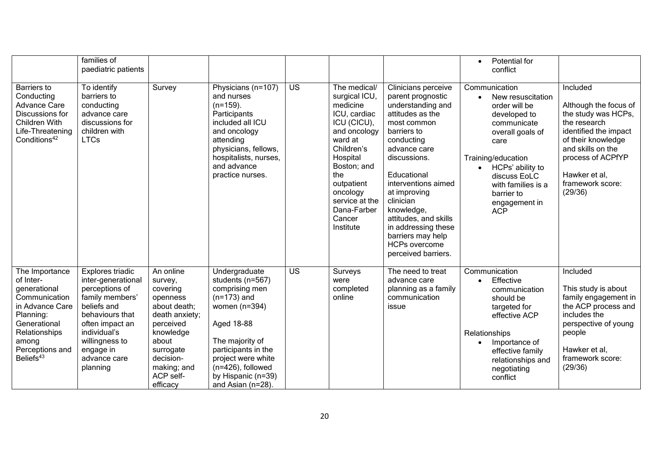|                                                                                                                                                                                    | families of<br>paediatric patients                                                                                                                                                                          |                                                                                                                                                                                     |                                                                                                                                                                                                                                          |                 |                                                                                                                                                                                                                                       |                                                                                                                                                                                                                                                                                                                                                                    | Potential for<br>$\bullet$<br>conflict                                                                                                                                                                                                                     |                                                                                                                                                                                                                   |
|------------------------------------------------------------------------------------------------------------------------------------------------------------------------------------|-------------------------------------------------------------------------------------------------------------------------------------------------------------------------------------------------------------|-------------------------------------------------------------------------------------------------------------------------------------------------------------------------------------|------------------------------------------------------------------------------------------------------------------------------------------------------------------------------------------------------------------------------------------|-----------------|---------------------------------------------------------------------------------------------------------------------------------------------------------------------------------------------------------------------------------------|--------------------------------------------------------------------------------------------------------------------------------------------------------------------------------------------------------------------------------------------------------------------------------------------------------------------------------------------------------------------|------------------------------------------------------------------------------------------------------------------------------------------------------------------------------------------------------------------------------------------------------------|-------------------------------------------------------------------------------------------------------------------------------------------------------------------------------------------------------------------|
| <b>Barriers</b> to<br>Conducting<br><b>Advance Care</b><br>Discussions for<br><b>Children With</b><br>Life-Threatening<br>Conditions <sup>42</sup>                                 | To identify<br>barriers to<br>conducting<br>advance care<br>discussions for<br>children with<br><b>LTCs</b>                                                                                                 | Survey                                                                                                                                                                              | Physicians (n=107)<br>and nurses<br>$(n=159)$ .<br>Participants<br>included all ICU<br>and oncology<br>attending<br>physicians, fellows,<br>hospitalists, nurses,<br>and advance<br>practice nurses.                                     | $\overline{US}$ | The medical/<br>surgical ICU,<br>medicine<br>ICU, cardiac<br>ICU (CICU),<br>and oncology<br>ward at<br>Children's<br>Hospital<br>Boston; and<br>the<br>outpatient<br>oncology<br>service at the<br>Dana-Farber<br>Cancer<br>Institute | Clinicians perceive<br>parent prognostic<br>understanding and<br>attitudes as the<br>most common<br>barriers to<br>conducting<br>advance care<br>discussions.<br>Educational<br>interventions aimed<br>at improving<br>clinician<br>knowledge,<br>attitudes, and skills<br>in addressing these<br>barriers may help<br><b>HCPs overcome</b><br>perceived barriers. | Communication<br>New resuscitation<br>$\bullet$<br>order will be<br>developed to<br>communicate<br>overall goals of<br>care<br>Training/education<br>• HCPs' ability to<br>discuss EoLC<br>with families is a<br>barrier to<br>engagement in<br><b>ACP</b> | Included<br>Although the focus of<br>the study was HCPs,<br>the research<br>identified the impact<br>of their knowledge<br>and skills on the<br>process of ACPfYP<br>Hawker et al,<br>framework score:<br>(29/36) |
| The Importance<br>of Inter-<br>generational<br>Communication<br>in Advance Care<br>Planning:<br>Generational<br>Relationships<br>among<br>Perceptions and<br>Beliefs <sup>43</sup> | Explores triadic<br>inter-generational<br>perceptions of<br>family members'<br>beliefs and<br>behaviours that<br>often impact an<br>individual's<br>willingness to<br>engage in<br>advance care<br>planning | An online<br>survey,<br>covering<br>openness<br>about death;<br>death anxiety;<br>perceived<br>knowledge<br>about<br>surrogate<br>decision-<br>making; and<br>ACP self-<br>efficacy | Undergraduate<br>students (n=567)<br>comprising men<br>$(n=173)$ and<br>women $(n=394)$<br>Aged 18-88<br>The majority of<br>participants in the<br>project were white<br>$(n=426)$ , followed<br>by Hispanic (n=39)<br>and Asian (n=28). | <b>US</b>       | Surveys<br>were<br>completed<br>online                                                                                                                                                                                                | The need to treat<br>advance care<br>planning as a family<br>communication<br>issue                                                                                                                                                                                                                                                                                | Communication<br>Effective<br>$\bullet$<br>communication<br>should be<br>targeted for<br>effective ACP<br>Relationships<br>Importance of<br>effective family<br>relationships and<br>negotiating<br>conflict                                               | Included<br>This study is about<br>family engagement in<br>the ACP process and<br>includes the<br>perspective of young<br>people<br>Hawker et al,<br>framework score:<br>(29/36)                                  |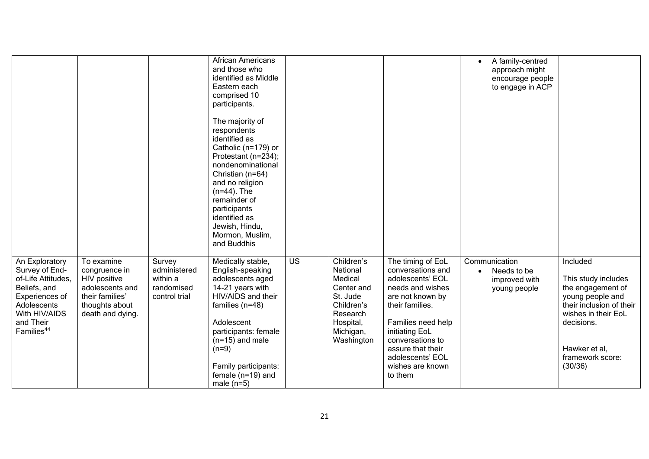|                                  |                                    |                             | <b>African Americans</b><br>and those who<br>identified as Middle |                 |                        |                                        | A family-centred<br>approach might<br>encourage people |                                       |
|----------------------------------|------------------------------------|-----------------------------|-------------------------------------------------------------------|-----------------|------------------------|----------------------------------------|--------------------------------------------------------|---------------------------------------|
|                                  |                                    |                             | Eastern each<br>comprised 10                                      |                 |                        |                                        | to engage in ACP                                       |                                       |
|                                  |                                    |                             | participants.                                                     |                 |                        |                                        |                                                        |                                       |
|                                  |                                    |                             | The majority of<br>respondents                                    |                 |                        |                                        |                                                        |                                       |
|                                  |                                    |                             | identified as                                                     |                 |                        |                                        |                                                        |                                       |
|                                  |                                    |                             | Catholic (n=179) or<br>Protestant (n=234);                        |                 |                        |                                        |                                                        |                                       |
|                                  |                                    |                             | nondenominational                                                 |                 |                        |                                        |                                                        |                                       |
|                                  |                                    |                             | Christian (n=64)<br>and no religion                               |                 |                        |                                        |                                                        |                                       |
|                                  |                                    |                             | $(n=44)$ . The<br>remainder of                                    |                 |                        |                                        |                                                        |                                       |
|                                  |                                    |                             | participants                                                      |                 |                        |                                        |                                                        |                                       |
|                                  |                                    |                             | identified as<br>Jewish, Hindu,                                   |                 |                        |                                        |                                                        |                                       |
|                                  |                                    |                             | Mormon, Muslim,<br>and Buddhis                                    |                 |                        |                                        |                                                        |                                       |
|                                  |                                    |                             |                                                                   |                 |                        |                                        |                                                        |                                       |
| An Exploratory<br>Survey of End- | To examine<br>congruence in        | Survey<br>administered      | Medically stable,<br>English-speaking                             | $\overline{US}$ | Children's<br>National | The timing of EoL<br>conversations and | Communication<br>Needs to be                           | Included                              |
| of-Life Attitudes,               | HIV positive                       | within a                    | adolescents aged                                                  |                 | Medical                | adolescents' EOL                       | improved with                                          | This study includes                   |
| Beliefs, and<br>Experiences of   | adolescents and<br>their families' | randomised<br>control trial | 14-21 years with<br>HIV/AIDS and their                            |                 | Center and<br>St. Jude | needs and wishes<br>are not known by   | young people                                           | the engagement of<br>young people and |
| Adolescents                      | thoughts about                     |                             | families $(n=48)$                                                 |                 | Children's             | their families.                        |                                                        | their inclusion of their              |
| With HIV/AIDS<br>and Their       | death and dying.                   |                             | Adolescent                                                        |                 | Research<br>Hospital,  | Families need help                     |                                                        | wishes in their EoL<br>decisions.     |
| Families <sup>44</sup>           |                                    |                             | participants: female                                              |                 | Michigan,              | initiating EoL<br>conversations to     |                                                        |                                       |
|                                  |                                    |                             | $(n=15)$ and male<br>$(n=9)$                                      |                 | Washington             | assure that their                      |                                                        | Hawker et al,                         |
|                                  |                                    |                             | Family participants:                                              |                 |                        | adolescents' EOL<br>wishes are known   |                                                        | framework score:<br>(30/36)           |
|                                  |                                    |                             | female $(n=19)$ and                                               |                 |                        | to them                                |                                                        |                                       |
|                                  |                                    |                             | male $(n=5)$                                                      |                 |                        |                                        |                                                        |                                       |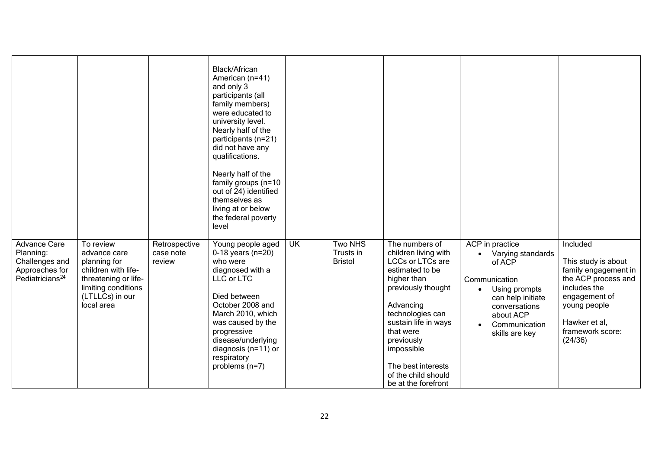|                                                                                                     |                                                                                                                                                  |                                      | Black/African<br>American (n=41)<br>and only 3<br>participants (all<br>family members)<br>were educated to<br>university level.<br>Nearly half of the<br>participants (n=21)<br>did not have any<br>qualifications.<br>Nearly half of the<br>family groups (n=10<br>out of 24) identified<br>themselves as<br>living at or below<br>the federal poverty<br>level |                         |                                               |                                                                                                                                                                                                                                                                                                 |                                                                                                                                                                                                               |                                                                                                                                                                                 |
|-----------------------------------------------------------------------------------------------------|--------------------------------------------------------------------------------------------------------------------------------------------------|--------------------------------------|------------------------------------------------------------------------------------------------------------------------------------------------------------------------------------------------------------------------------------------------------------------------------------------------------------------------------------------------------------------|-------------------------|-----------------------------------------------|-------------------------------------------------------------------------------------------------------------------------------------------------------------------------------------------------------------------------------------------------------------------------------------------------|---------------------------------------------------------------------------------------------------------------------------------------------------------------------------------------------------------------|---------------------------------------------------------------------------------------------------------------------------------------------------------------------------------|
| <b>Advance Care</b><br>Planning:<br>Challenges and<br>Approaches for<br>Pediatricians <sup>24</sup> | To review<br>advance care<br>planning for<br>children with life-<br>threatening or life-<br>limiting conditions<br>(LTLLCs) in our<br>local area | Retrospective<br>case note<br>review | Young people aged<br>$0-18$ years (n=20)<br>who were<br>diagnosed with a<br>LLC or LTC<br>Died between<br>October 2008 and<br>March 2010, which<br>was caused by the<br>progressive<br>disease/underlying<br>diagnosis ( $n=11$ ) or<br>respiratory<br>problems $(n=7)$                                                                                          | $\overline{\mathsf{U}}$ | <b>Two NHS</b><br>Trusts in<br><b>Bristol</b> | The numbers of<br>children living with<br><b>LCCs or LTCs are</b><br>estimated to be<br>higher than<br>previously thought<br>Advancing<br>technologies can<br>sustain life in ways<br>that were<br>previously<br>impossible<br>The best interests<br>of the child should<br>be at the forefront | ACP in practice<br>Varying standards<br>$\bullet$<br>of ACP<br>Communication<br>Using prompts<br>$\bullet$<br>can help initiate<br>conversations<br>about ACP<br>Communication<br>$\bullet$<br>skills are key | Included<br>This study is about<br>family engagement in<br>the ACP process and<br>includes the<br>engagement of<br>young people<br>Hawker et al,<br>framework score:<br>(24/36) |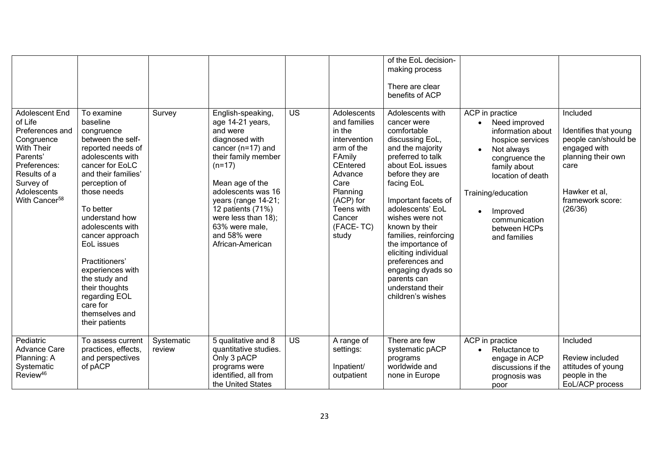|                                                                                                                                                                                             |                                                                                                                                                                                                                                                                                                                                                                                                            |                      |                                                                                                                                                                                                                                                                                                   |                 |                                                                                                                                                                                            | of the EoL decision-                                                                                                                                                                                                                                                                                                                                                                                                  |                                                                                                                                                                                                                                                |                                                                                                                                                         |
|---------------------------------------------------------------------------------------------------------------------------------------------------------------------------------------------|------------------------------------------------------------------------------------------------------------------------------------------------------------------------------------------------------------------------------------------------------------------------------------------------------------------------------------------------------------------------------------------------------------|----------------------|---------------------------------------------------------------------------------------------------------------------------------------------------------------------------------------------------------------------------------------------------------------------------------------------------|-----------------|--------------------------------------------------------------------------------------------------------------------------------------------------------------------------------------------|-----------------------------------------------------------------------------------------------------------------------------------------------------------------------------------------------------------------------------------------------------------------------------------------------------------------------------------------------------------------------------------------------------------------------|------------------------------------------------------------------------------------------------------------------------------------------------------------------------------------------------------------------------------------------------|---------------------------------------------------------------------------------------------------------------------------------------------------------|
|                                                                                                                                                                                             |                                                                                                                                                                                                                                                                                                                                                                                                            |                      |                                                                                                                                                                                                                                                                                                   |                 |                                                                                                                                                                                            | making process<br>There are clear<br>benefits of ACP                                                                                                                                                                                                                                                                                                                                                                  |                                                                                                                                                                                                                                                |                                                                                                                                                         |
|                                                                                                                                                                                             |                                                                                                                                                                                                                                                                                                                                                                                                            |                      |                                                                                                                                                                                                                                                                                                   |                 |                                                                                                                                                                                            |                                                                                                                                                                                                                                                                                                                                                                                                                       |                                                                                                                                                                                                                                                |                                                                                                                                                         |
| <b>Adolescent End</b><br>of Life<br>Preferences and<br>Congruence<br><b>With Their</b><br>Parents'<br>Preferences:<br>Results of a<br>Survey of<br>Adolescents<br>With Cancer <sup>58</sup> | To examine<br>baseline<br>congruence<br>between the self-<br>reported needs of<br>adolescents with<br>cancer for EoLC<br>and their families'<br>perception of<br>those needs<br>To better<br>understand how<br>adolescents with<br>cancer approach<br>EoL issues<br>Practitioners'<br>experiences with<br>the study and<br>their thoughts<br>regarding EOL<br>care for<br>themselves and<br>their patients | Survey               | English-speaking,<br>age 14-21 years,<br>and were<br>diagnosed with<br>cancer ( $n=17$ ) and<br>their family member<br>$(n=17)$<br>Mean age of the<br>adolescents was 16<br>years (range 14-21;<br>12 patients (71%)<br>were less than 18);<br>63% were male,<br>and 58% were<br>African-American | <b>US</b>       | Adolescents<br>and families<br>in the<br>intervention<br>arm of the<br>FAmily<br><b>CEntered</b><br>Advance<br>Care<br>Planning<br>(ACP) for<br>Teens with<br>Cancer<br>(FACE-TC)<br>study | Adolescents with<br>cancer were<br>comfortable<br>discussing EoL,<br>and the majority<br>preferred to talk<br>about EoL issues<br>before they are<br>facing EoL<br>Important facets of<br>adolescents' EoL<br>wishes were not<br>known by their<br>families, reinforcing<br>the importance of<br>eliciting individual<br>preferences and<br>engaging dyads so<br>parents can<br>understand their<br>children's wishes | ACP in practice<br>Need improved<br>information about<br>hospice services<br>Not always<br>congruence the<br>family about<br>location of death<br>Training/education<br>Improved<br>$\bullet$<br>communication<br>between HCPs<br>and families | Included<br>Identifies that young<br>people can/should be<br>engaged with<br>planning their own<br>care<br>Hawker et al.<br>framework score:<br>(26/36) |
| Pediatric<br><b>Advance Care</b><br>Planning: A                                                                                                                                             | To assess current<br>practices, effects,<br>and perspectives                                                                                                                                                                                                                                                                                                                                               | Systematic<br>review | 5 qualitative and 8<br>quantitative studies.<br>Only 3 pACP                                                                                                                                                                                                                                       | $\overline{US}$ | A range of<br>settings:                                                                                                                                                                    | There are few<br>systematic pACP<br>programs                                                                                                                                                                                                                                                                                                                                                                          | ACP in practice<br>Reluctance to<br>$\bullet$<br>engage in ACP                                                                                                                                                                                 | Included<br>Review included                                                                                                                             |
| Systematic<br>Review <sup>46</sup>                                                                                                                                                          | of pACP                                                                                                                                                                                                                                                                                                                                                                                                    |                      | programs were<br>identified, all from<br>the United States                                                                                                                                                                                                                                        |                 | Inpatient/<br>outpatient                                                                                                                                                                   | worldwide and<br>none in Europe                                                                                                                                                                                                                                                                                                                                                                                       | discussions if the<br>prognosis was<br>poor                                                                                                                                                                                                    | attitudes of young<br>people in the<br>EoL/ACP process                                                                                                  |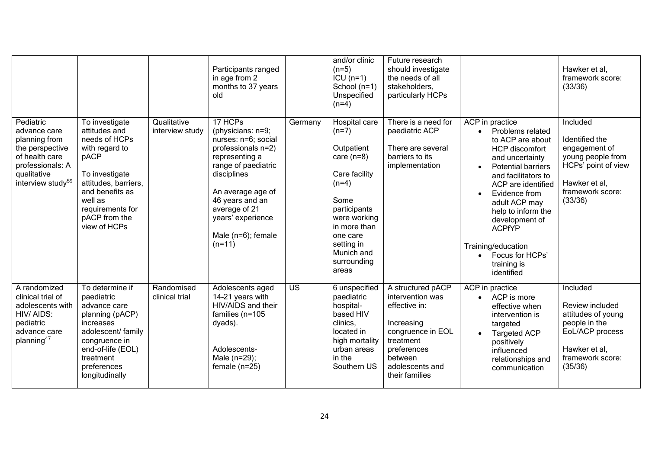|                                                                                                                                                     |                                                                                                                                                                                                         |                                | Participants ranged<br>in age from 2<br>months to 37 years<br>old                                                                                                                                                                                 |           | and/or clinic<br>$(n=5)$<br>$ICU(n=1)$<br>School $(n=1)$<br>Unspecified<br>$(n=4)$                                                                                                                         | Future research<br>should investigate<br>the needs of all<br>stakeholders,<br>particularly HCPs                                                                       |                                                                                                                                                                                                                                                                                                                                                                            | Hawker et al,<br>framework score:<br>(33/36)                                                                                            |
|-----------------------------------------------------------------------------------------------------------------------------------------------------|---------------------------------------------------------------------------------------------------------------------------------------------------------------------------------------------------------|--------------------------------|---------------------------------------------------------------------------------------------------------------------------------------------------------------------------------------------------------------------------------------------------|-----------|------------------------------------------------------------------------------------------------------------------------------------------------------------------------------------------------------------|-----------------------------------------------------------------------------------------------------------------------------------------------------------------------|----------------------------------------------------------------------------------------------------------------------------------------------------------------------------------------------------------------------------------------------------------------------------------------------------------------------------------------------------------------------------|-----------------------------------------------------------------------------------------------------------------------------------------|
| Pediatric<br>advance care<br>planning from<br>the perspective<br>of health care<br>professionals: A<br>qualitative<br>interview study <sup>59</sup> | To investigate<br>attitudes and<br>needs of HCPs<br>with regard to<br>pACP<br>To investigate<br>attitudes, barriers,<br>and benefits as<br>well as<br>requirements for<br>pACP from the<br>view of HCPs | Qualitative<br>interview study | 17 HCPs<br>(physicians: n=9;<br>nurses: n=6; social<br>professionals n=2)<br>representing a<br>range of paediatric<br>disciplines<br>An average age of<br>46 years and an<br>average of 21<br>years' experience<br>Male (n=6); female<br>$(n=11)$ | Germany   | Hospital care<br>$(n=7)$<br>Outpatient<br>care $(n=8)$<br>Care facility<br>$(n=4)$<br>Some<br>participants<br>were working<br>in more than<br>one care<br>setting in<br>Munich and<br>surrounding<br>areas | There is a need for<br>paediatric ACP<br>There are several<br>barriers to its<br>implementation                                                                       | ACP in practice<br>Problems related<br>$\bullet$<br>to ACP are about<br><b>HCP</b> discomfort<br>and uncertainty<br><b>Potential barriers</b><br>and facilitators to<br>ACP are identified<br>Evidence from<br>$\bullet$<br>adult ACP may<br>help to inform the<br>development of<br><b>ACPfYP</b><br>Training/education<br>• Focus for HCPs'<br>training is<br>identified | Included<br>Identified the<br>engagement of<br>young people from<br>HCPs' point of view<br>Hawker et al,<br>framework score:<br>(33/36) |
| A randomized<br>clinical trial of<br>adolescents with<br>HIV/AIDS:<br>pediatric<br>advance care<br>planning <sup>47</sup>                           | To determine if<br>paediatric<br>advance care<br>planning (pACP)<br>increases<br>adolescent/ family<br>congruence in<br>end-of-life (EOL)<br>treatment<br>preferences<br>longitudinally                 | Randomised<br>clinical trial   | Adolescents aged<br>14-21 years with<br>HIV/AIDS and their<br>families (n=105<br>dyads).<br>Adolescents-<br>Male (n=29);<br>female $(n=25)$                                                                                                       | <b>US</b> | 6 unspecified<br>paediatric<br>hospital-<br>based HIV<br>clinics.<br>located in<br>high mortality<br>urban areas<br>in the<br>Southern US                                                                  | A structured pACP<br>intervention was<br>effective in:<br>Increasing<br>congruence in EOL<br>treatment<br>preferences<br>between<br>adolescents and<br>their families | ACP in practice<br>• ACP is more<br>effective when<br>intervention is<br>targeted<br><b>Targeted ACP</b><br>positively<br>influenced<br>relationships and<br>communication                                                                                                                                                                                                 | Included<br>Review included<br>attitudes of young<br>people in the<br>EoL/ACP process<br>Hawker et al.<br>framework score:<br>(35/36)   |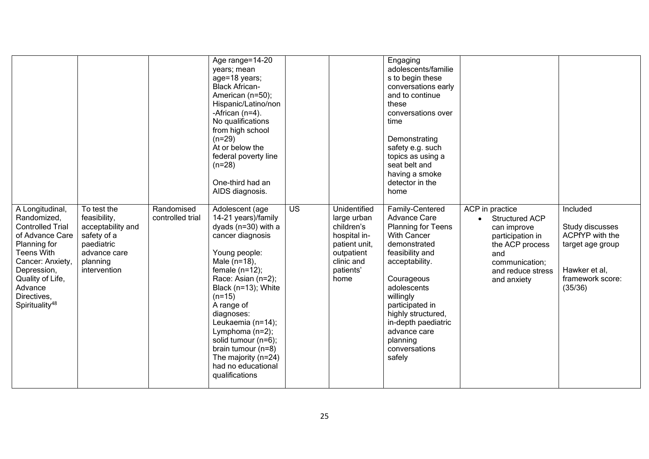|                                                                                                                                                                                                                                  |                                                                                                                           |                                | Age range=14-20<br>years; mean<br>age=18 years;<br><b>Black African-</b><br>American (n=50);<br>Hispanic/Latino/non<br>-African $(n=4)$ .<br>No qualifications<br>from high school<br>$(n=29)$<br>At or below the<br>federal poverty line<br>$(n=28)$<br>One-third had an<br>AIDS diagnosis.                                                                                       |                 |                                                                                                                             | Engaging<br>adolescents/familie<br>s to begin these<br>conversations early<br>and to continue<br>these<br>conversations over<br>time<br>Demonstrating<br>safety e.g. such<br>topics as using a<br>seat belt and<br>having a smoke<br>detector in the<br>home                                      |                                                                                                                                                             |                                                                                                                    |
|----------------------------------------------------------------------------------------------------------------------------------------------------------------------------------------------------------------------------------|---------------------------------------------------------------------------------------------------------------------------|--------------------------------|------------------------------------------------------------------------------------------------------------------------------------------------------------------------------------------------------------------------------------------------------------------------------------------------------------------------------------------------------------------------------------|-----------------|-----------------------------------------------------------------------------------------------------------------------------|---------------------------------------------------------------------------------------------------------------------------------------------------------------------------------------------------------------------------------------------------------------------------------------------------|-------------------------------------------------------------------------------------------------------------------------------------------------------------|--------------------------------------------------------------------------------------------------------------------|
| A Longitudinal,<br>Randomized,<br><b>Controlled Trial</b><br>of Advance Care<br>Planning for<br><b>Teens With</b><br>Cancer: Anxiety,<br>Depression,<br>Quality of Life,<br>Advance<br>Directives,<br>Spirituality <sup>48</sup> | To test the<br>feasibility,<br>acceptability and<br>safety of a<br>paediatric<br>advance care<br>planning<br>intervention | Randomised<br>controlled trial | Adolescent (age<br>14-21 years)/family<br>dyads (n=30) with a<br>cancer diagnosis<br>Young people:<br>Male (n=18),<br>female $(n=12)$ ;<br>Race: Asian (n=2);<br>Black (n=13); White<br>$(n=15)$<br>A range of<br>diagnoses:<br>Leukaemia (n=14);<br>Lymphoma (n=2);<br>solid tumour (n=6);<br>brain tumour $(n=8)$<br>The majority (n=24)<br>had no educational<br>qualifications | $\overline{US}$ | Unidentified<br>large urban<br>children's<br>hospital in-<br>patient unit,<br>outpatient<br>clinic and<br>patients'<br>home | Family-Centered<br>Advance Care<br>Planning for Teens<br><b>With Cancer</b><br>demonstrated<br>feasibility and<br>acceptability.<br>Courageous<br>adolescents<br>willingly<br>participated in<br>highly structured,<br>in-depth paediatric<br>advance care<br>planning<br>conversations<br>safely | ACP in practice<br><b>Structured ACP</b><br>can improve<br>participation in<br>the ACP process<br>and<br>communication;<br>and reduce stress<br>and anxiety | Included<br>Study discusses<br>ACPfYP with the<br>target age group<br>Hawker et al,<br>framework score:<br>(35/36) |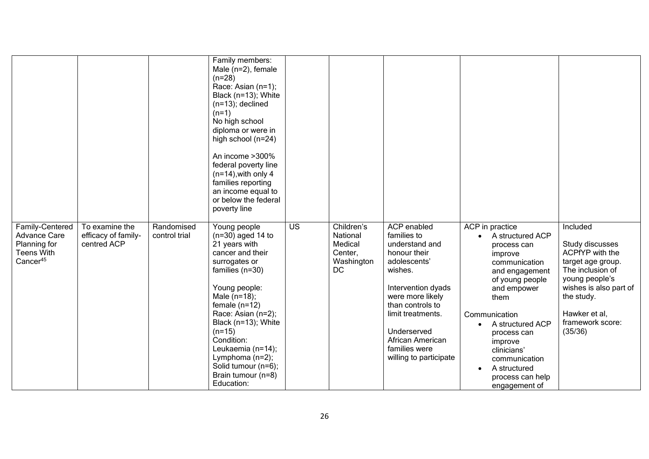|                                                                                                     | To examine the                     |                             | Family members:<br>Male $(n=2)$ , female<br>$(n=28)$<br>Race: Asian (n=1);<br>Black (n=13); White<br>$(n=13)$ ; declined<br>$(n=1)$<br>No high school<br>diploma or were in<br>high school (n=24)<br>An income >300%<br>federal poverty line<br>$(n=14)$ , with only 4<br>families reporting<br>an income equal to<br>or below the federal<br>poverty line | <b>US</b> | Children's                                         | <b>ACP</b> enabled                                                                                                                                                                                                                        |                                                                                                                                                                                                                                                                                                             | Included                                                                                                                                                                              |
|-----------------------------------------------------------------------------------------------------|------------------------------------|-----------------------------|------------------------------------------------------------------------------------------------------------------------------------------------------------------------------------------------------------------------------------------------------------------------------------------------------------------------------------------------------------|-----------|----------------------------------------------------|-------------------------------------------------------------------------------------------------------------------------------------------------------------------------------------------------------------------------------------------|-------------------------------------------------------------------------------------------------------------------------------------------------------------------------------------------------------------------------------------------------------------------------------------------------------------|---------------------------------------------------------------------------------------------------------------------------------------------------------------------------------------|
| Family-Centered<br><b>Advance Care</b><br>Planning for<br><b>Teens With</b><br>Cancer <sup>45</sup> | efficacy of family-<br>centred ACP | Randomised<br>control trial | Young people<br>$(n=30)$ aged 14 to<br>21 years with<br>cancer and their<br>surrogates or<br>families $(n=30)$<br>Young people:<br>Male $(n=18)$ ;<br>female $(n=12)$<br>Race: Asian (n=2);<br>Black (n=13); White<br>$(n=15)$<br>Condition:<br>Leukaemia (n=14);<br>Lymphoma (n=2);<br>Solid tumour (n=6);<br>Brain tumour (n=8)<br>Education:            |           | National<br>Medical<br>Center,<br>Washington<br>DC | families to<br>understand and<br>honour their<br>adolescents'<br>wishes.<br>Intervention dyads<br>were more likely<br>than controls to<br>limit treatments.<br>Underserved<br>African American<br>families were<br>willing to participate | ACP in practice<br>A structured ACP<br>process can<br>improve<br>communication<br>and engagement<br>of young people<br>and empower<br>them<br>Communication<br>A structured ACP<br>process can<br>improve<br>clinicians'<br>communication<br>A structured<br>$\bullet$<br>process can help<br>engagement of | Study discusses<br>ACPfYP with the<br>target age group.<br>The inclusion of<br>young people's<br>wishes is also part of<br>the study.<br>Hawker et al,<br>framework score:<br>(35/36) |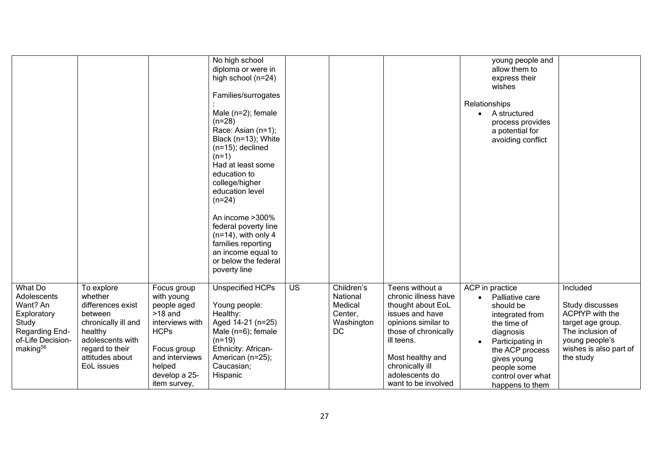|                                                                                                                           |                                                                                                                                                                 |                                                                                                                                                                     | No high school<br>diploma or were in<br>high school (n=24)<br>Families/surrogates<br>Male $(n=2)$ ; female<br>$(n=28)$<br>Race: Asian (n=1);<br>Black (n=13); White<br>$(n=15)$ ; declined<br>$(n=1)$<br>Had at least some<br>education to<br>college/higher<br>education level<br>$(n=24)$<br>An income >300%<br>federal poverty line<br>$(n=14)$ , with only 4<br>families reporting<br>an income equal to<br>or below the federal<br>poverty line |           |                                                                  |                                                                                                                                                                                                                              | young people and<br>allow them to<br>express their<br>wishes<br>Relationships<br>A structured<br>process provides<br>a potential for<br>avoiding conflict                                                   |                                                                                                                                                  |
|---------------------------------------------------------------------------------------------------------------------------|-----------------------------------------------------------------------------------------------------------------------------------------------------------------|---------------------------------------------------------------------------------------------------------------------------------------------------------------------|------------------------------------------------------------------------------------------------------------------------------------------------------------------------------------------------------------------------------------------------------------------------------------------------------------------------------------------------------------------------------------------------------------------------------------------------------|-----------|------------------------------------------------------------------|------------------------------------------------------------------------------------------------------------------------------------------------------------------------------------------------------------------------------|-------------------------------------------------------------------------------------------------------------------------------------------------------------------------------------------------------------|--------------------------------------------------------------------------------------------------------------------------------------------------|
| What Do<br>Adolescents<br>Want? An<br>Exploratory<br>Study<br>Regarding End-<br>of-Life Decision-<br>making <sup>56</sup> | To explore<br>whether<br>differences exist<br>between<br>chronically ill and<br>healthy<br>adolescents with<br>regard to their<br>attitudes about<br>EoL issues | Focus group<br>with young<br>people aged<br>$>18$ and<br>interviews with<br><b>HCPs</b><br>Focus group<br>and interviews<br>helped<br>develop a 25-<br>item survey, | Unspecified HCPs<br>Young people:<br>Healthy:<br>Aged 14-21 (n=25)<br>Male $(n=6)$ ; female<br>$(n=19)$<br>Ethnicity: African-<br>American (n=25);<br>Caucasian;<br>Hispanic                                                                                                                                                                                                                                                                         | <b>US</b> | Children's<br>National<br>Medical<br>Center,<br>Washington<br>DC | Teens without a<br>chronic illness have<br>thought about EoL<br>issues and have<br>opinions similar to<br>those of chronically<br>ill teens.<br>Most healthy and<br>chronically ill<br>adolescents do<br>want to be involved | ACP in practice<br>Palliative care<br>should be<br>integrated from<br>the time of<br>diagnosis<br>Participating in<br>the ACP process<br>gives young<br>people some<br>control over what<br>happens to them | Included<br>Study discusses<br>ACPfYP with the<br>target age group.<br>The inclusion of<br>young people's<br>wishes is also part of<br>the study |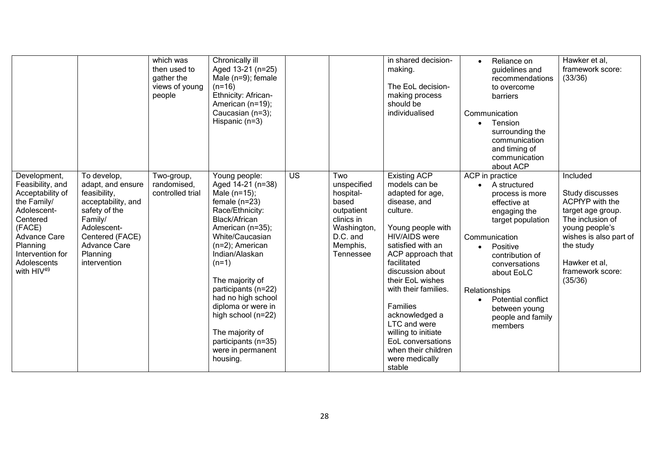|                                                                                                                                                                                                   |                                                                                                                                                                                         | which was<br>then used to<br>gather the<br>views of young<br>people | Chronically ill<br>Aged 13-21 (n=25)<br>Male $(n=9)$ ; female<br>$(n=16)$<br>Ethnicity: African-<br>American (n=19);<br>Caucasian (n=3);<br>Hispanic $(n=3)$                                                                                                                                                                                                                               |           |                                                                                                                          | in shared decision-<br>making.<br>The EoL decision-<br>making process<br>should be<br>individualised                                                                                                                                                                                                                                                                                                    |               | Reliance on<br>guidelines and<br>recommendations<br>to overcome<br>barriers<br>Communication<br>Tension<br>surrounding the<br>communication<br>and timing of<br>communication<br>about ACP                                                                    | Hawker et al,<br>framework score:<br>(33/36)                                                                                                                                                     |
|---------------------------------------------------------------------------------------------------------------------------------------------------------------------------------------------------|-----------------------------------------------------------------------------------------------------------------------------------------------------------------------------------------|---------------------------------------------------------------------|--------------------------------------------------------------------------------------------------------------------------------------------------------------------------------------------------------------------------------------------------------------------------------------------------------------------------------------------------------------------------------------------|-----------|--------------------------------------------------------------------------------------------------------------------------|---------------------------------------------------------------------------------------------------------------------------------------------------------------------------------------------------------------------------------------------------------------------------------------------------------------------------------------------------------------------------------------------------------|---------------|---------------------------------------------------------------------------------------------------------------------------------------------------------------------------------------------------------------------------------------------------------------|--------------------------------------------------------------------------------------------------------------------------------------------------------------------------------------------------|
| Development,<br>Feasibility, and<br>Acceptability of<br>the Family/<br>Adolescent-<br>Centered<br>(FACE)<br>Advance Care<br>Planning<br>Intervention for<br>Adolescents<br>with HIV <sup>49</sup> | To develop,<br>adapt, and ensure<br>feasibility,<br>acceptability, and<br>safety of the<br>Family/<br>Adolescent-<br>Centered (FACE)<br><b>Advance Care</b><br>Planning<br>intervention | Two-group,<br>randomised,<br>controlled trial                       | Young people:<br>Aged 14-21 (n=38)<br>Male (n=15);<br>female $(n=23)$<br>Race/Ethnicity:<br>Black/African<br>American (n=35);<br>White/Caucasian<br>$(n=2)$ ; American<br>Indian/Alaskan<br>$(n=1)$<br>The majority of<br>participants (n=22)<br>had no high school<br>diploma or were in<br>high school (n=22)<br>The majority of<br>participants (n=35)<br>were in permanent<br>housing. | <b>US</b> | Two<br>unspecified<br>hospital-<br>based<br>outpatient<br>clinics in<br>Washington,<br>D.C. and<br>Memphis,<br>Tennessee | <b>Existing ACP</b><br>models can be<br>adapted for age,<br>disease, and<br>culture.<br>Young people with<br><b>HIV/AIDS</b> were<br>satisfied with an<br>ACP approach that<br>facilitated<br>discussion about<br>their EoL wishes<br>with their families.<br>Families<br>acknowledged a<br>LTC and were<br>willing to initiate<br>EoL conversations<br>when their children<br>were medically<br>stable | Relationships | ACP in practice<br>A structured<br>process is more<br>effective at<br>engaging the<br>target population<br>Communication<br>Positive<br>contribution of<br>conversations<br>about EoLC<br>Potential conflict<br>between young<br>people and family<br>members | Included<br>Study discusses<br>ACPfYP with the<br>target age group.<br>The inclusion of<br>young people's<br>wishes is also part of<br>the study<br>Hawker et al,<br>framework score:<br>(35/36) |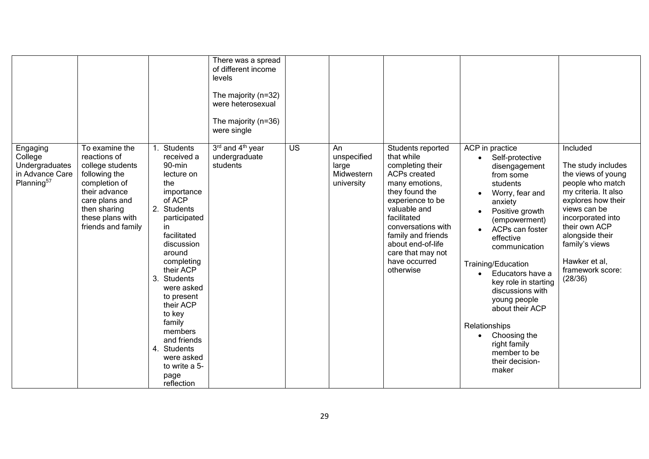|                                                                                    |                                                                                                                                                                                   |    |                                                                                                                                                                                                                                                                                                                                                              | There was a spread<br>of different income<br>levels<br>The majority (n=32)<br>were heterosexual<br>The majority (n=36)<br>were single |                 |                                                        |                                                                                                                                                                                                                                                                                       |                                                                                                                                                                                                                                                                                                                                                                                                                                      |                                                                                                                                                                                                                                                                   |
|------------------------------------------------------------------------------------|-----------------------------------------------------------------------------------------------------------------------------------------------------------------------------------|----|--------------------------------------------------------------------------------------------------------------------------------------------------------------------------------------------------------------------------------------------------------------------------------------------------------------------------------------------------------------|---------------------------------------------------------------------------------------------------------------------------------------|-----------------|--------------------------------------------------------|---------------------------------------------------------------------------------------------------------------------------------------------------------------------------------------------------------------------------------------------------------------------------------------|--------------------------------------------------------------------------------------------------------------------------------------------------------------------------------------------------------------------------------------------------------------------------------------------------------------------------------------------------------------------------------------------------------------------------------------|-------------------------------------------------------------------------------------------------------------------------------------------------------------------------------------------------------------------------------------------------------------------|
| Engaging<br>College<br>Undergraduates<br>in Advance Care<br>Planning <sup>57</sup> | To examine the<br>reactions of<br>college students<br>following the<br>completion of<br>their advance<br>care plans and<br>then sharing<br>these plans with<br>friends and family | 3. | Students<br>received a<br>90-min<br>lecture on<br>the<br>importance<br>of ACP<br>2. Students<br>participated<br>in.<br>facilitated<br>discussion<br>around<br>completing<br>their ACP<br>Students<br>were asked<br>to present<br>their ACP<br>to key<br>family<br>members<br>and friends<br>4. Students<br>were asked<br>to write a 5-<br>page<br>reflection | 3rd and 4 <sup>th</sup> year<br>undergraduate<br>students                                                                             | $\overline{US}$ | An<br>unspecified<br>large<br>Midwestern<br>university | Students reported<br>that while<br>completing their<br><b>ACPs created</b><br>many emotions,<br>they found the<br>experience to be<br>valuable and<br>facilitated<br>conversations with<br>family and friends<br>about end-of-life<br>care that may not<br>have occurred<br>otherwise | ACP in practice<br>Self-protective<br>disengagement<br>from some<br>students<br>Worry, fear and<br>anxiety<br>Positive growth<br>(empowerment)<br>ACPs can foster<br>effective<br>communication<br>Training/Education<br>• Educators have a<br>key role in starting<br>discussions with<br>young people<br>about their ACP<br>Relationships<br>Choosing the<br>$\bullet$<br>right family<br>member to be<br>their decision-<br>maker | Included<br>The study includes<br>the views of young<br>people who match<br>my criteria. It also<br>explores how their<br>views can be<br>incorporated into<br>their own ACP<br>alongside their<br>family's views<br>Hawker et al,<br>framework score:<br>(28/36) |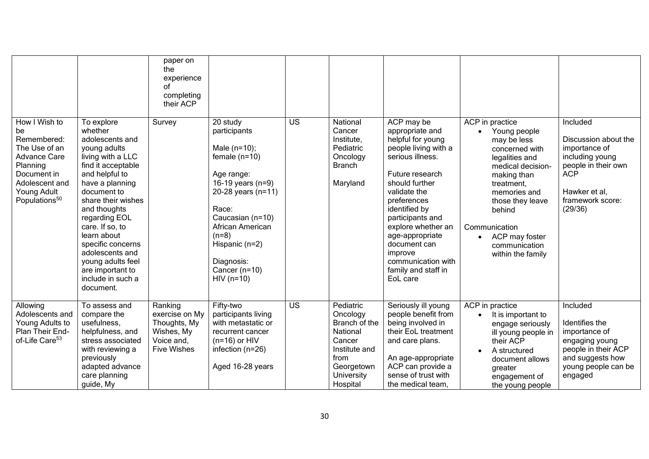|                                                                                                                                                                     |                                                                                                                                                                                                                                                                                                                                                                     | paper on<br>the<br>experience<br>of<br>completing<br>their ACP                              |                                                                                                                                                                                                                                                          |                 |                                                                                                                                      |                                                                                                                                                                                                                                                                                                                                      |                                                                                                                                                                                                                                                             |                                                                                                                                                           |
|---------------------------------------------------------------------------------------------------------------------------------------------------------------------|---------------------------------------------------------------------------------------------------------------------------------------------------------------------------------------------------------------------------------------------------------------------------------------------------------------------------------------------------------------------|---------------------------------------------------------------------------------------------|----------------------------------------------------------------------------------------------------------------------------------------------------------------------------------------------------------------------------------------------------------|-----------------|--------------------------------------------------------------------------------------------------------------------------------------|--------------------------------------------------------------------------------------------------------------------------------------------------------------------------------------------------------------------------------------------------------------------------------------------------------------------------------------|-------------------------------------------------------------------------------------------------------------------------------------------------------------------------------------------------------------------------------------------------------------|-----------------------------------------------------------------------------------------------------------------------------------------------------------|
| How I Wish to<br>be<br>Remembered:<br>The Use of an<br><b>Advance Care</b><br>Planning<br>Document in<br>Adolescent and<br>Young Adult<br>Populations <sup>50</sup> | To explore<br>whether<br>adolescents and<br>young adults<br>living with a LLC<br>find it acceptable<br>and helpful to<br>have a planning<br>document to<br>share their wishes<br>and thoughts<br>regarding EOL<br>care. If so, to<br>learn about<br>specific concerns<br>adolescents and<br>young adults feel<br>are important to<br>include in such a<br>document. | Survey                                                                                      | 20 study<br>participants<br>Male $(n=10)$ ;<br>female $(n=10)$<br>Age range:<br>16-19 years $(n=9)$<br>20-28 years (n=11)<br>Race:<br>Caucasian (n=10)<br>African American<br>$(n=8)$<br>Hispanic (n=2)<br>Diagnosis:<br>Cancer $(n=10)$<br>$HIV$ (n=10) | $\overline{US}$ | National<br>Cancer<br>Institute,<br>Pediatric<br>Oncology<br><b>Branch</b><br>Maryland                                               | ACP may be<br>appropriate and<br>helpful for young<br>people living with a<br>serious illness.<br>Future research<br>should further<br>validate the<br>preferences<br>identified by<br>participants and<br>explore whether an<br>age-appropriate<br>document can<br>improve<br>communication with<br>family and staff in<br>EoL care | ACP in practice<br>Young people<br>may be less<br>concerned with<br>legalities and<br>medical decision-<br>making than<br>treatment,<br>memories and<br>those they leave<br>behind<br>Communication<br>ACP may foster<br>communication<br>within the family | Included<br>Discussion about the<br>importance of<br>including young<br>people in their own<br><b>ACP</b><br>Hawker et al,<br>framework score:<br>(29/36) |
| Allowing<br>Adolescents and<br>Young Adults to<br>Plan Their End-<br>of-Life Care <sup>53</sup>                                                                     | To assess and<br>compare the<br>usefulness,<br>helpfulness, and<br>stress associated<br>with reviewing a<br>previously<br>adapted advance<br>care planning<br>guide, My                                                                                                                                                                                             | Ranking<br>exercise on My<br>Thoughts, My<br>Wishes, My<br>Voice and,<br><b>Five Wishes</b> | Fifty-two<br>participants living<br>with metastatic or<br>recurrent cancer<br>$(n=16)$ or HIV<br>infection (n=26)<br>Aged 16-28 years                                                                                                                    | $\overline{US}$ | Pediatric<br>Oncology<br>Branch of the<br>National<br>Cancer<br>Institute and<br>from<br>Georgetown<br><b>University</b><br>Hospital | Seriously ill young<br>people benefit from<br>being involved in<br>their EoL treatment<br>and care plans.<br>An age-appropriate<br>ACP can provide a<br>sense of trust with<br>the medical team,                                                                                                                                     | ACP in practice<br>It is important to<br>engage seriously<br>ill young people in<br>their ACP<br>A structured<br>$\bullet$<br>document allows<br>greater<br>engagement of<br>the young people                                                               | Included<br>Identifies the<br>importance of<br>engaging young<br>people in their ACP<br>and suggests how<br>young people can be<br>engaged                |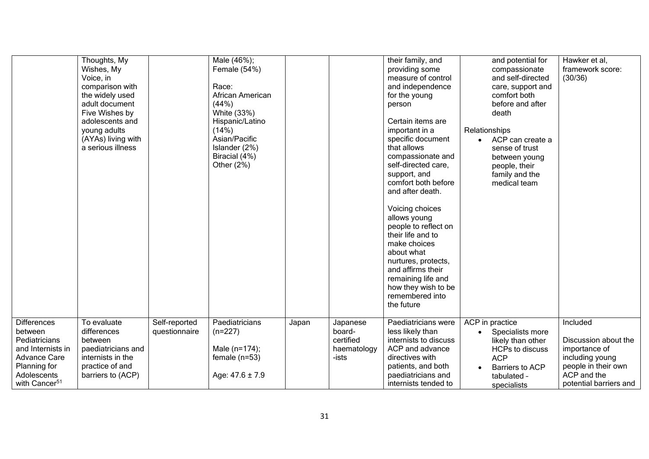|                                                                                                                                                        | Thoughts, My<br>Wishes, My<br>Voice, in<br>comparison with<br>the widely used<br>adult document<br>Five Wishes by<br>adolescents and<br>young adults<br>(AYAs) living with<br>a serious illness |                                | Male (46%);<br>Female (54%)<br>Race:<br>African American<br>(44%)<br>White (33%)<br>Hispanic/Latino<br>(14%)<br>Asian/Pacific<br>Islander (2%)<br>Biracial (4%)<br>Other $(2%)$ |       |                                                         | their family, and<br>providing some<br>measure of control<br>and independence<br>for the young<br>person<br>Certain items are<br>important in a<br>specific document<br>that allows<br>compassionate and<br>self-directed care,<br>support, and<br>comfort both before<br>and after death.<br>Voicing choices<br>allows young<br>people to reflect on<br>their life and to<br>make choices<br>about what<br>nurtures, protects,<br>and affirms their<br>remaining life and<br>how they wish to be<br>remembered into<br>the future | and potential for<br>compassionate<br>and self-directed<br>care, support and<br>comfort both<br>before and after<br>death<br>Relationships<br>ACP can create a<br>$\bullet$<br>sense of trust<br>between young<br>people, their<br>family and the<br>medical team | Hawker et al,<br>framework score:<br>(30/36)                                                                                         |
|--------------------------------------------------------------------------------------------------------------------------------------------------------|-------------------------------------------------------------------------------------------------------------------------------------------------------------------------------------------------|--------------------------------|---------------------------------------------------------------------------------------------------------------------------------------------------------------------------------|-------|---------------------------------------------------------|------------------------------------------------------------------------------------------------------------------------------------------------------------------------------------------------------------------------------------------------------------------------------------------------------------------------------------------------------------------------------------------------------------------------------------------------------------------------------------------------------------------------------------|-------------------------------------------------------------------------------------------------------------------------------------------------------------------------------------------------------------------------------------------------------------------|--------------------------------------------------------------------------------------------------------------------------------------|
| <b>Differences</b><br>between<br>Pediatricians<br>and Internists in<br><b>Advance Care</b><br>Planning for<br>Adolescents<br>with Cancer <sup>51</sup> | To evaluate<br>differences<br>between<br>paediatricians and<br>internists in the<br>practice of and<br>barriers to (ACP)                                                                        | Self-reported<br>questionnaire | Paediatricians<br>$(n=227)$<br>Male (n=174);<br>female $(n=53)$<br>Age: 47.6 ± 7.9                                                                                              | Japan | Japanese<br>board-<br>certified<br>haematology<br>-ists | Paediatricians were<br>less likely than<br>internists to discuss<br>ACP and advance<br>directives with<br>patients, and both<br>paediatricians and<br>internists tended to                                                                                                                                                                                                                                                                                                                                                         | ACP in practice<br>Specialists more<br>likely than other<br><b>HCPs to discuss</b><br><b>ACP</b><br>Barriers to ACP<br>tabulated -<br>specialists                                                                                                                 | Included<br>Discussion about the<br>importance of<br>including young<br>people in their own<br>ACP and the<br>potential barriers and |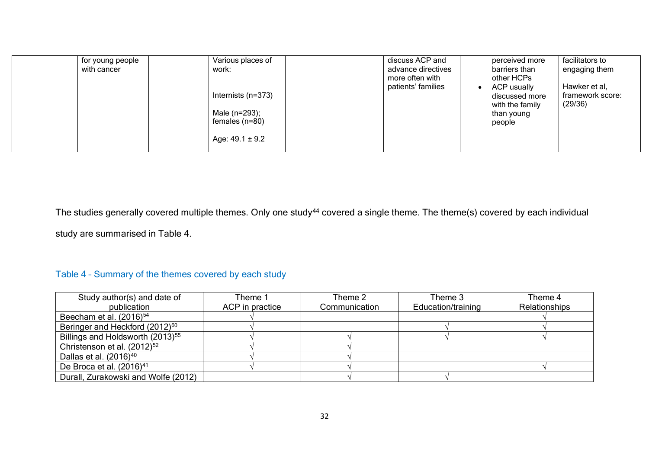| for young people<br>with cancer | Various places of<br>work:<br>Internists (n=373)<br>Male (n=293);<br>females $(n=80)$<br>Age: $49.1 \pm 9.2$ | discuss ACP and<br>advance directives<br>more often with<br>patients' families | perceived more<br>barriers than<br>other HCPs<br>ACP usually<br>٠<br>discussed more<br>with the family<br>than young<br>people | facilitators to<br>engaging them<br>Hawker et al,<br>framework score:<br>(29/36) |
|---------------------------------|--------------------------------------------------------------------------------------------------------------|--------------------------------------------------------------------------------|--------------------------------------------------------------------------------------------------------------------------------|----------------------------------------------------------------------------------|
|---------------------------------|--------------------------------------------------------------------------------------------------------------|--------------------------------------------------------------------------------|--------------------------------------------------------------------------------------------------------------------------------|----------------------------------------------------------------------------------|

The studies generally covered multiple themes. Only one study<sup>44</sup> covered a single theme. The theme(s) covered by each individual study are summarised in Table 4.

# Table 4 – Summary of the themes covered by each study

| Study author(s) and date of                  | Theme 1         | Theme 2       | Theme 3            | Theme 4              |
|----------------------------------------------|-----------------|---------------|--------------------|----------------------|
| publication                                  | ACP in practice | Communication | Education/training | <b>Relationships</b> |
| Beecham et al. $(2016)^{54}$                 |                 |               |                    |                      |
| Beringer and Heckford (2012) <sup>60</sup>   |                 |               |                    |                      |
| Billings and Holdsworth (2013) <sup>55</sup> |                 |               |                    |                      |
| Christenson et al. (2012) <sup>52</sup>      |                 |               |                    |                      |
| Dallas et al. (2016) <sup>40</sup>           |                 |               |                    |                      |
| De Broca et al. $(2016)^{41}$                |                 |               |                    |                      |
| Durall, Zurakowski and Wolfe (2012)          |                 |               |                    |                      |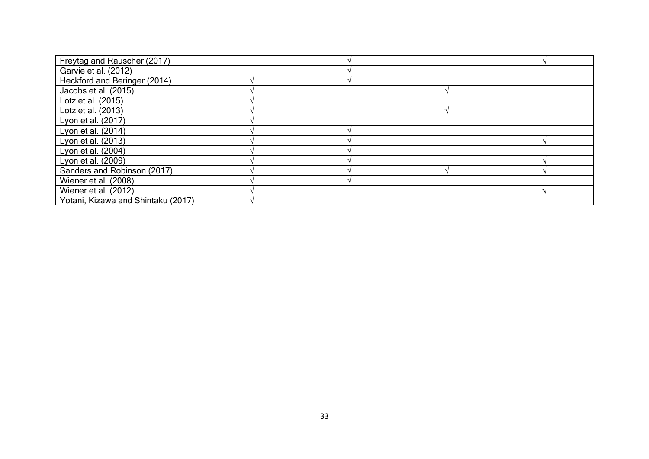| Freytag and Rauscher (2017)        |  |  |
|------------------------------------|--|--|
| Garvie et al. (2012)               |  |  |
| Heckford and Beringer (2014)       |  |  |
| Jacobs et al. (2015)               |  |  |
| Lotz et al. (2015)                 |  |  |
| Lotz et al. (2013)                 |  |  |
| Lyon et al. (2017)                 |  |  |
| Lyon et al. (2014)                 |  |  |
| Lyon et al. (2013)                 |  |  |
| Lyon et al. (2004)                 |  |  |
| Lyon et al. (2009)                 |  |  |
| Sanders and Robinson (2017)        |  |  |
| Wiener et al. (2008)               |  |  |
| Wiener et al. (2012)               |  |  |
| Yotani, Kizawa and Shintaku (2017) |  |  |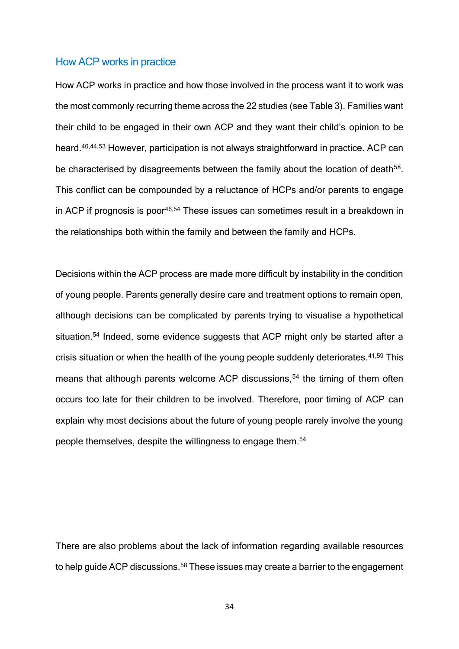#### How ACP works in practice

How ACP works in practice and how those involved in the process want it to work was the most commonly recurring theme across the 22 studies (see Table 3). Families want their child to be engaged in their own ACP and they want their child's opinion to be heard. 40,44,53 However, participation is not always straightforward in practice. ACP can be characterised by disagreements between the family about the location of death<sup>58</sup>. This conflict can be compounded by a reluctance of HCPs and/or parents to engage in ACP if prognosis is poor<sup>46,54</sup> These issues can sometimes result in a breakdown in the relationships both within the family and between the family and HCPs.

Decisions within the ACP process are made more difficult by instability in the condition of young people. Parents generally desire care and treatment options to remain open, although decisions can be complicated by parents trying to visualise a hypothetical situation.<sup>54</sup> Indeed, some evidence suggests that ACP might only be started after a crisis situation or when the health of the young people suddenly deteriorates.<sup>41,59</sup> This means that although parents welcome ACP discussions,<sup>54</sup> the timing of them often occurs too late for their children to be involved. Therefore, poor timing of ACP can explain why most decisions about the future of young people rarely involve the young people themselves, despite the willingness to engage them.<sup>54</sup>

There are also problems about the lack of information regarding available resources to help guide ACP discussions.<sup>58</sup> These issues may create a barrier to the engagement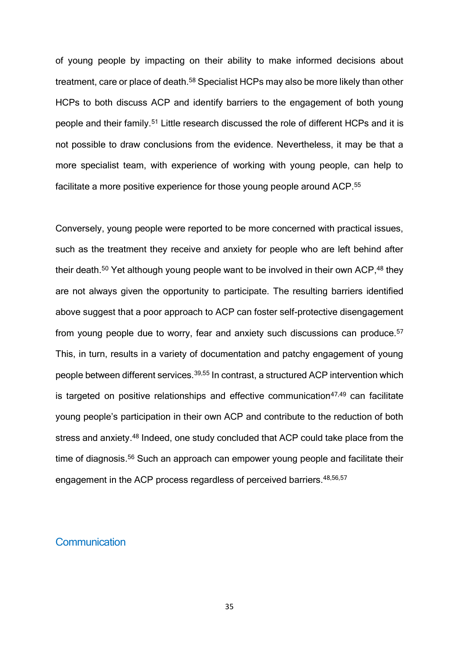of young people by impacting on their ability to make informed decisions about treatment, care or place of death.<sup>58</sup> Specialist HCPs may also be more likely than other HCPs to both discuss ACP and identify barriers to the engagement of both young people and their family.<sup>51</sup> Little research discussed the role of different HCPs and it is not possible to draw conclusions from the evidence. Nevertheless, it may be that a more specialist team, with experience of working with young people, can help to facilitate a more positive experience for those young people around ACP.<sup>55</sup>

Conversely, young people were reported to be more concerned with practical issues, such as the treatment they receive and anxiety for people who are left behind after their death.<sup>50</sup> Yet although young people want to be involved in their own ACP,<sup>48</sup> they are not always given the opportunity to participate. The resulting barriers identified above suggest that a poor approach to ACP can foster self-protective disengagement from young people due to worry, fear and anxiety such discussions can produce.<sup>57</sup> This, in turn, results in a variety of documentation and patchy engagement of young people between different services.39,55 In contrast, a structured ACP intervention which is targeted on positive relationships and effective communication $47,49$  can facilitate young people's participation in their own ACP and contribute to the reduction of both stress and anxiety.<sup>48</sup> Indeed, one study concluded that ACP could take place from the time of diagnosis.<sup>56</sup> Such an approach can empower young people and facilitate their engagement in the ACP process regardless of perceived barriers. 48,56,57

#### **Communication**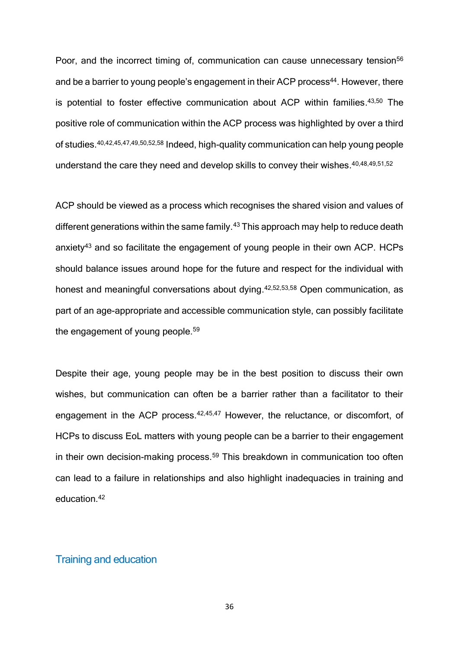Poor, and the incorrect timing of, communication can cause unnecessary tension<sup>56</sup> and be a barrier to young people's engagement in their ACP process<sup>44</sup>. However, there is potential to foster effective communication about ACP within families. 43,50 The positive role of communication within the ACP process was highlighted by over a third of studies. 40,42,45,47,49,50,52,58 Indeed, high-quality communication can help young people understand the care they need and develop skills to convey their wishes. 40,48,49,51,52

ACP should be viewed as a process which recognises the shared vision and values of different generations within the same family.<sup>43</sup> This approach may help to reduce death anxiety<sup>43</sup> and so facilitate the engagement of young people in their own ACP. HCPs should balance issues around hope for the future and respect for the individual with honest and meaningful conversations about dying.<sup>42,52,53,58</sup> Open communication, as part of an age-appropriate and accessible communication style, can possibly facilitate the engagement of young people.<sup>59</sup>

Despite their age, young people may be in the best position to discuss their own wishes, but communication can often be a barrier rather than a facilitator to their engagement in the ACP process.<sup>42,45,47</sup> However, the reluctance, or discomfort, of HCPs to discuss EoL matters with young people can be a barrier to their engagement in their own decision-making process. <sup>59</sup> This breakdown in communication too often can lead to a failure in relationships and also highlight inadequacies in training and education.<sup>42</sup>

### Training and education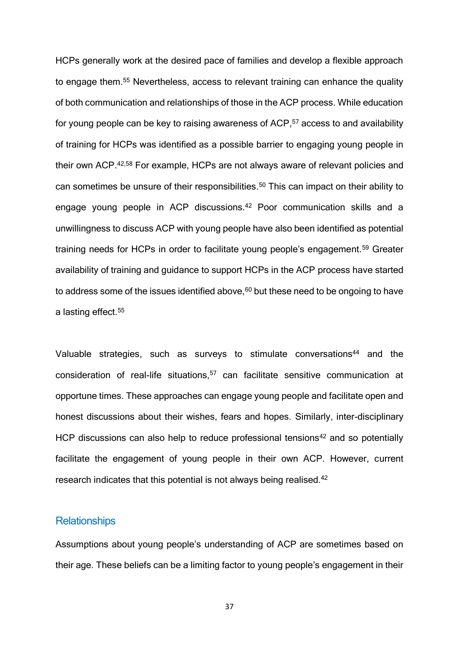HCPs generally work at the desired pace of families and develop a flexible approach to engage them. <sup>55</sup> Nevertheless, access to relevant training can enhance the quality of both communication and relationships of those in the ACP process. While education for young people can be key to raising awareness of ACP, <sup>57</sup> access to and availability of training for HCPs was identified as a possible barrier to engaging young people in their own ACP.<sup>42,58</sup> For example, HCPs are not always aware of relevant policies and can sometimes be unsure of their responsibilities. <sup>50</sup> This can impact on their ability to engage young people in ACP discussions. <sup>42</sup> Poor communication skills and a unwillingness to discuss ACP with young people have also been identified as potential training needs for HCPs in order to facilitate young people's engagement.<sup>59</sup> Greater availability of training and guidance to support HCPs in the ACP process have started to address some of the issues identified above, $60$  but these need to be ongoing to have a lasting effect.<sup>55</sup>

Valuable strategies, such as surveys to stimulate conversations<sup>44</sup> and the consideration of real-life situations, <sup>57</sup> can facilitate sensitive communication at opportune times. These approaches can engage young people and facilitate open and honest discussions about their wishes, fears and hopes. Similarly, inter-disciplinary HCP discussions can also help to reduce professional tensions $42$  and so potentially facilitate the engagement of young people in their own ACP. However, current research indicates that this potential is not always being realised.<sup>42</sup>

#### **Relationships**

Assumptions about young people's understanding of ACP are sometimes based on their age. These beliefs can be a limiting factor to young people's engagement in their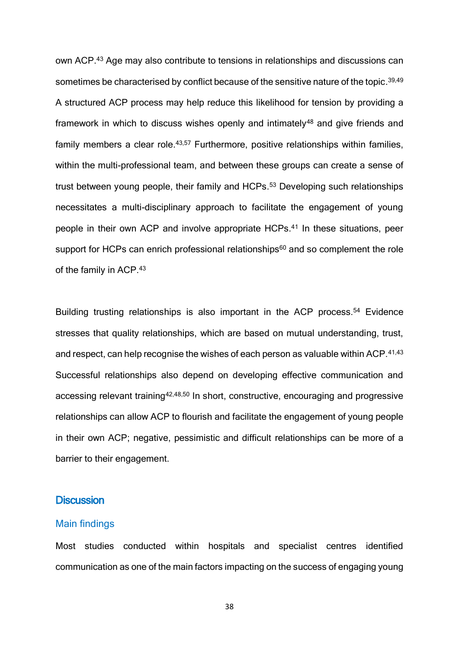own ACP.<sup>43</sup> Age may also contribute to tensions in relationships and discussions can sometimes be characterised by conflict because of the sensitive nature of the topic.<sup>39,49</sup> A structured ACP process may help reduce this likelihood for tension by providing a framework in which to discuss wishes openly and intimately<sup>48</sup> and give friends and family members a clear role.<sup>43,57</sup> Furthermore, positive relationships within families, within the multi-professional team, and between these groups can create a sense of trust between young people, their family and HCPs. <sup>53</sup> Developing such relationships necessitates a multi-disciplinary approach to facilitate the engagement of young people in their own ACP and involve appropriate HCPs. <sup>41</sup> In these situations, peer support for HCPs can enrich professional relationships<sup>60</sup> and so complement the role of the family in ACP.<sup>43</sup>

Building trusting relationships is also important in the ACP process.<sup>54</sup> Evidence stresses that quality relationships, which are based on mutual understanding, trust, and respect, can help recognise the wishes of each person as valuable within ACP.<sup>41,43</sup> Successful relationships also depend on developing effective communication and accessing relevant training<sup>42,48,50</sup> In short, constructive, encouraging and progressive relationships can allow ACP to flourish and facilitate the engagement of young people in their own ACP; negative, pessimistic and difficult relationships can be more of a barrier to their engagement.

#### **Discussion**

#### Main findings

Most studies conducted within hospitals and specialist centres identified communication as one of the main factors impacting on the success of engaging young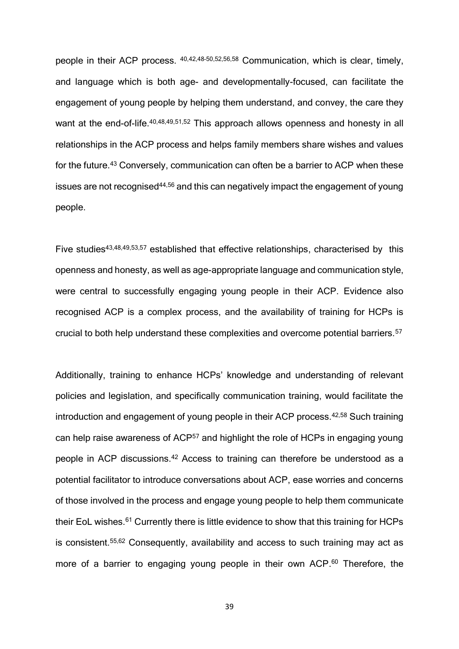people in their ACP process. 40,42,48–50,52,56,58 Communication, which is clear, timely, and language which is both age- and developmentally-focused, can facilitate the engagement of young people by helping them understand, and convey, the care they want at the end-of-life.<sup>40,48,49,51,52</sup> This approach allows openness and honesty in all relationships in the ACP process and helps family members share wishes and values for the future.<sup>43</sup> Conversely, communication can often be a barrier to ACP when these issues are not recognised<sup>44,56</sup> and this can negatively impact the engagement of young people.

Five studies<sup>43,48,49,53,57</sup> established that effective relationships, characterised by this openness and honesty, as well as age-appropriate language and communication style, were central to successfully engaging young people in their ACP. Evidence also recognised ACP is a complex process, and the availability of training for HCPs is crucial to both help understand these complexities and overcome potential barriers.<sup>57</sup>

Additionally, training to enhance HCPs' knowledge and understanding of relevant policies and legislation, and specifically communication training, would facilitate the introduction and engagement of young people in their ACP process.42,58 Such training can help raise awareness of ACP<sup>57</sup> and highlight the role of HCPs in engaging young people in ACP discussions.<sup>42</sup> Access to training can therefore be understood as a potential facilitator to introduce conversations about ACP, ease worries and concerns of those involved in the process and engage young people to help them communicate their EoL wishes.<sup>61</sup> Currently there is little evidence to show that this training for HCPs is consistent.55,62 Consequently, availability and access to such training may act as more of a barrier to engaging young people in their own ACP.<sup>60</sup> Therefore, the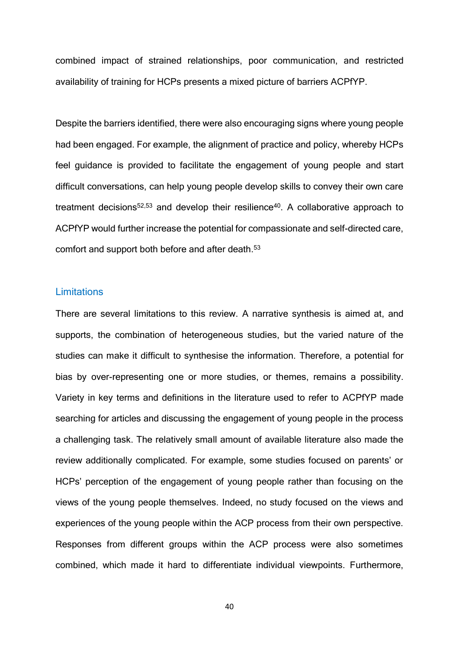combined impact of strained relationships, poor communication, and restricted availability of training for HCPs presents a mixed picture of barriers ACPfYP.

Despite the barriers identified, there were also encouraging signs where young people had been engaged. For example, the alignment of practice and policy, whereby HCPs feel guidance is provided to facilitate the engagement of young people and start difficult conversations, can help young people develop skills to convey their own care treatment decisions<sup>52,53</sup> and develop their resilience<sup>40</sup>. A collaborative approach to ACPfYP would further increase the potential for compassionate and self-directed care, comfort and support both before and after death. 53

#### **Limitations**

There are several limitations to this review. A narrative synthesis is aimed at, and supports, the combination of heterogeneous studies, but the varied nature of the studies can make it difficult to synthesise the information. Therefore, a potential for bias by over-representing one or more studies, or themes, remains a possibility. Variety in key terms and definitions in the literature used to refer to ACPfYP made searching for articles and discussing the engagement of young people in the process a challenging task. The relatively small amount of available literature also made the review additionally complicated. For example, some studies focused on parents' or HCPs' perception of the engagement of young people rather than focusing on the views of the young people themselves. Indeed, no study focused on the views and experiences of the young people within the ACP process from their own perspective. Responses from different groups within the ACP process were also sometimes combined, which made it hard to differentiate individual viewpoints. Furthermore,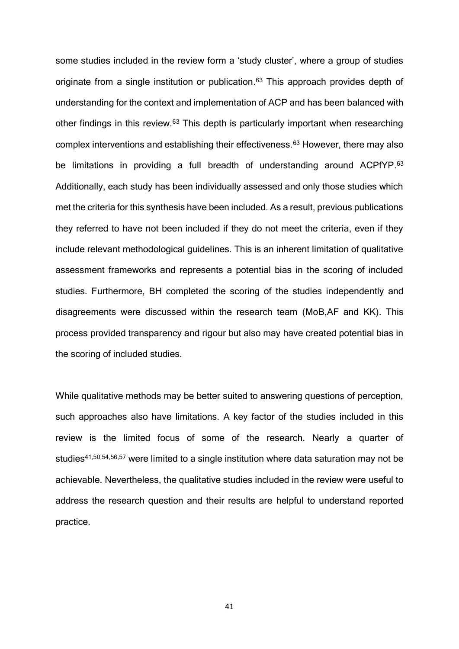some studies included in the review form a 'study cluster', where a group of studies originate from a single institution or publication.<sup>63</sup> This approach provides depth of understanding for the context and implementation of ACP and has been balanced with other findings in this review.<sup>63</sup> This depth is particularly important when researching complex interventions and establishing their effectiveness.<sup>63</sup> However, there may also be limitations in providing a full breadth of understanding around ACPfYP.<sup>63</sup> Additionally, each study has been individually assessed and only those studies which met the criteria for this synthesis have been included. As a result, previous publications they referred to have not been included if they do not meet the criteria, even if they include relevant methodological guidelines. This is an inherent limitation of qualitative assessment frameworks and represents a potential bias in the scoring of included studies. Furthermore, BH completed the scoring of the studies independently and disagreements were discussed within the research team (MoB,AF and KK). This process provided transparency and rigour but also may have created potential bias in the scoring of included studies.

While qualitative methods may be better suited to answering questions of perception, such approaches also have limitations. A key factor of the studies included in this review is the limited focus of some of the research. Nearly a quarter of studies<sup>41,50,54,56,57</sup> were limited to a single institution where data saturation may not be achievable. Nevertheless, the qualitative studies included in the review were useful to address the research question and their results are helpful to understand reported practice.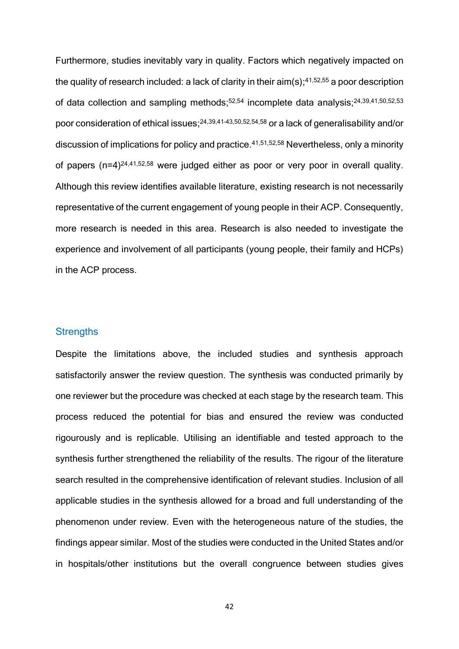Furthermore, studies inevitably vary in quality. Factors which negatively impacted on the quality of research included: a lack of clarity in their  $\text{aim}(s);^{41,52,55}$  a poor description of data collection and sampling methods;<sup>52,54</sup> incomplete data analysis;<sup>24,39,41,50,52,53</sup> poor consideration of ethical issues; 24,39,41–43,50,52,54,58 or a lack of generalisability and/or discussion of implications for policy and practice. 41,51,52,58 Nevertheless, only a minority of papers  $(n=4)^{24,41,52,58}$  were judged either as poor or very poor in overall quality. Although this review identifies available literature, existing research is not necessarily representative of the current engagement of young people in their ACP. Consequently, more research is needed in this area. Research is also needed to investigate the experience and involvement of all participants (young people, their family and HCPs) in the ACP process.

#### **Strengths**

Despite the limitations above, the included studies and synthesis approach satisfactorily answer the review question. The synthesis was conducted primarily by one reviewer but the procedure was checked at each stage by the research team. This process reduced the potential for bias and ensured the review was conducted rigourously and is replicable. Utilising an identifiable and tested approach to the synthesis further strengthened the reliability of the results. The rigour of the literature search resulted in the comprehensive identification of relevant studies. Inclusion of all applicable studies in the synthesis allowed for a broad and full understanding of the phenomenon under review. Even with the heterogeneous nature of the studies, the findings appear similar. Most of the studies were conducted in the United States and/or in hospitals/other institutions but the overall congruence between studies gives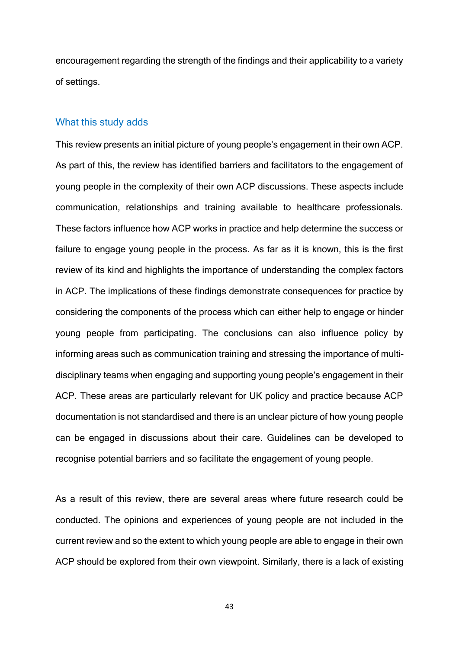encouragement regarding the strength of the findings and their applicability to a variety of settings.

#### What this study adds

This review presents an initial picture of young people's engagement in their own ACP. As part of this, the review has identified barriers and facilitators to the engagement of young people in the complexity of their own ACP discussions. These aspects include communication, relationships and training available to healthcare professionals. These factors influence how ACP works in practice and help determine the success or failure to engage young people in the process. As far as it is known, this is the first review of its kind and highlights the importance of understanding the complex factors in ACP. The implications of these findings demonstrate consequences for practice by considering the components of the process which can either help to engage or hinder young people from participating. The conclusions can also influence policy by informing areas such as communication training and stressing the importance of multidisciplinary teams when engaging and supporting young people's engagement in their ACP. These areas are particularly relevant for UK policy and practice because ACP documentation is not standardised and there is an unclear picture of how young people can be engaged in discussions about their care. Guidelines can be developed to recognise potential barriers and so facilitate the engagement of young people.

As a result of this review, there are several areas where future research could be conducted. The opinions and experiences of young people are not included in the current review and so the extent to which young people are able to engage in their own ACP should be explored from their own viewpoint. Similarly, there is a lack of existing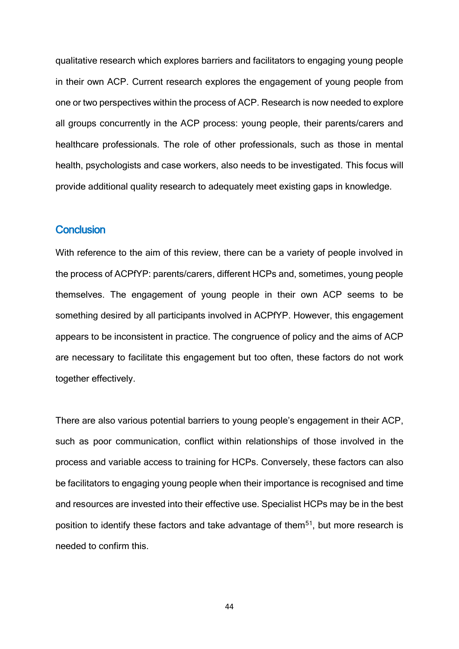qualitative research which explores barriers and facilitators to engaging young people in their own ACP. Current research explores the engagement of young people from one or two perspectives within the process of ACP. Research is now needed to explore all groups concurrently in the ACP process: young people, their parents/carers and healthcare professionals. The role of other professionals, such as those in mental health, psychologists and case workers, also needs to be investigated. This focus will provide additional quality research to adequately meet existing gaps in knowledge.

#### **Conclusion**

With reference to the aim of this review, there can be a variety of people involved in the process of ACPfYP: parents/carers, different HCPs and, sometimes, young people themselves. The engagement of young people in their own ACP seems to be something desired by all participants involved in ACPfYP. However, this engagement appears to be inconsistent in practice. The congruence of policy and the aims of ACP are necessary to facilitate this engagement but too often, these factors do not work together effectively.

There are also various potential barriers to young people's engagement in their ACP, such as poor communication, conflict within relationships of those involved in the process and variable access to training for HCPs. Conversely, these factors can also be facilitators to engaging young people when their importance is recognised and time and resources are invested into their effective use. Specialist HCPs may be in the best position to identify these factors and take advantage of them<sup>51</sup>, but more research is needed to confirm this.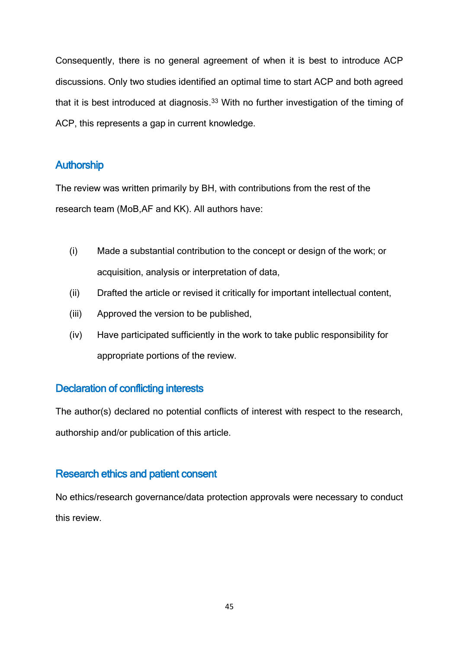Consequently, there is no general agreement of when it is best to introduce ACP discussions. Only two studies identified an optimal time to start ACP and both agreed that it is best introduced at diagnosis.<sup>33</sup> With no further investigation of the timing of ACP, this represents a gap in current knowledge.

# **Authorship**

The review was written primarily by BH, with contributions from the rest of the research team (MoB,AF and KK). All authors have:

- (i) Made a substantial contribution to the concept or design of the work; or acquisition, analysis or interpretation of data,
- (ii) Drafted the article or revised it critically for important intellectual content,
- (iii) Approved the version to be published,
- (iv) Have participated sufficiently in the work to take public responsibility for appropriate portions of the review.

# Declaration of conflicting interests

The author(s) declared no potential conflicts of interest with respect to the research, authorship and/or publication of this article.

# Research ethics and patient consent

No ethics/research governance/data protection approvals were necessary to conduct this review.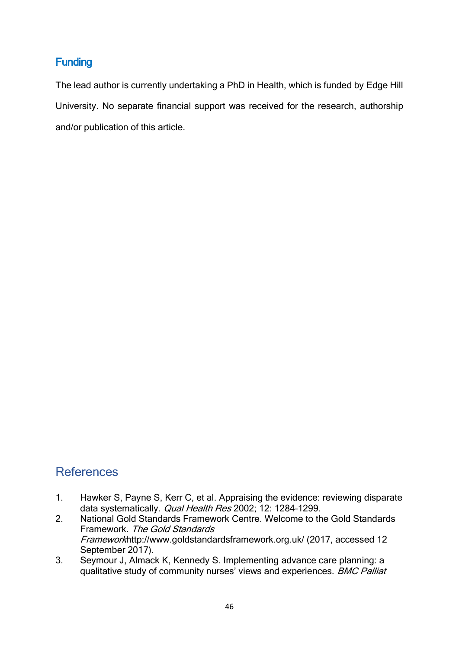# Funding

The lead author is currently undertaking a PhD in Health, which is funded by Edge Hill University. No separate financial support was received for the research, authorship and/or publication of this article.

# **References**

- 1. Hawker S, Payne S, Kerr C, et al. Appraising the evidence: reviewing disparate data systematically. *Qual Health Res* 2002; 12: 1284-1299.
- 2. National Gold Standards Framework Centre. Welcome to the Gold Standards Framework. The Gold Standards Frameworkhttp://www.goldstandardsframework.org.uk/ (2017, accessed 12 September 2017).
- 3. Seymour J, Almack K, Kennedy S. Implementing advance care planning: a qualitative study of community nurses' views and experiences. BMC Palliat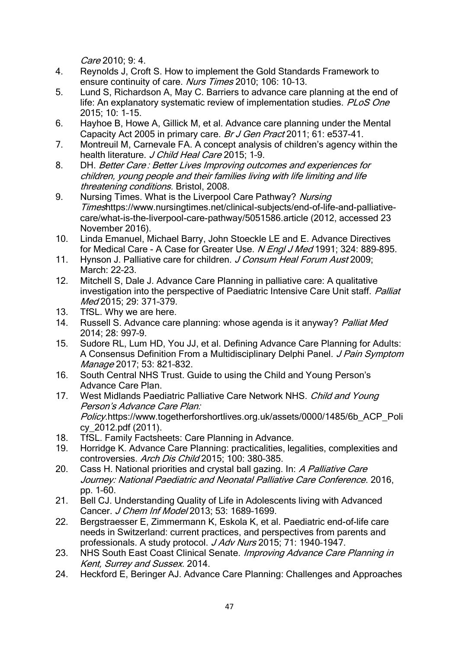Care 2010; 9: 4.

- 4. Reynolds J, Croft S. How to implement the Gold Standards Framework to ensure continuity of care. Nurs Times 2010; 106: 10–13.
- 5. Lund S, Richardson A, May C. Barriers to advance care planning at the end of life: An explanatory systematic review of implementation studies. PLoS One 2015; 10: 1–15.
- 6. Hayhoe B, Howe A, Gillick M, et al. Advance care planning under the Mental Capacity Act 2005 in primary care. Br J Gen Pract 2011; 61: e537-41.
- 7. Montreuil M, Carnevale FA. A concept analysis of children's agency within the health literature. J Child Heal Care 2015; 1-9.
- 8. DH. Better Care : Better Lives Improving outcomes and experiences for children, young people and their families living with life limiting and life threatening conditions. Bristol, 2008.
- 9. Nursing Times. What is the Liverpool Care Pathway? Nursing Timeshttps://www.nursingtimes.net/clinical-subjects/end-of-life-and-palliativecare/what-is-the-liverpool-care-pathway/5051586.article (2012, accessed 23 November 2016).
- 10. Linda Emanuel, Michael Barry, John Stoeckle LE and E. Advance Directives for Medical Care - A Case for Greater Use. N Engl J Med 1991; 324: 889–895.
- 11. Hynson J. Palliative care for children. J Consum Heal Forum Aust 2009; March: 22–23.
- 12. Mitchell S, Dale J. Advance Care Planning in palliative care: A qualitative investigation into the perspective of Paediatric Intensive Care Unit staff. Palliat Med 2015; 29: 371–379.
- 13. TfSL. Why we are here.
- 14. Russell S. Advance care planning: whose agenda is it anyway? Palliat Med 2014; 28: 997–9.
- 15. Sudore RL, Lum HD, You JJ, et al. Defining Advance Care Planning for Adults: A Consensus Definition From a Multidisciplinary Delphi Panel. J Pain Symptom Manage 2017; 53: 821–832.
- 16. South Central NHS Trust. Guide to using the Child and Young Person's Advance Care Plan.
- 17. West Midlands Paediatric Palliative Care Network NHS. Child and Young Person's Advance Care Plan: Policy.https://www.togetherforshortlives.org.uk/assets/0000/1485/6b\_ACP\_Poli cy\_2012.pdf (2011).
- 18. TfSL. Family Factsheets: Care Planning in Advance.
- 19. Horridge K. Advance Care Planning: practicalities, legalities, complexities and controversies. Arch Dis Child 2015; 100: 380–385.
- 20. Cass H. National priorities and crystal ball gazing. In: A Palliative Care Journey: National Paediatric and Neonatal Palliative Care Conference. 2016, pp. 1–60.
- 21. Bell CJ. Understanding Quality of Life in Adolescents living with Advanced Cancer. J Chem Inf Model 2013; 53: 1689–1699.
- 22. Bergstraesser E, Zimmermann K, Eskola K, et al. Paediatric end-of-life care needs in Switzerland: current practices, and perspectives from parents and professionals. A study protocol. J Adv Nurs 2015; 71: 1940-1947.
- 23. NHS South East Coast Clinical Senate. *Improving Advance Care Planning in* Kent, Surrey and Sussex. 2014.
- 24. Heckford E, Beringer AJ. Advance Care Planning: Challenges and Approaches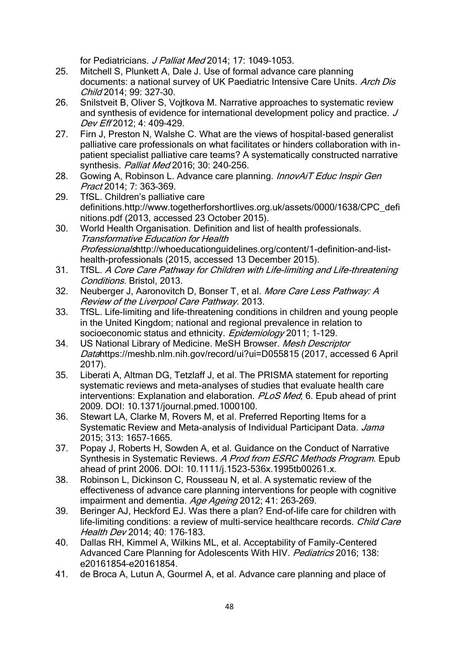for Pediatricians. J Palliat Med 2014; 17: 1049-1053.

- 25. Mitchell S, Plunkett A, Dale J. Use of formal advance care planning documents: a national survey of UK Paediatric Intensive Care Units. Arch Dis Child 2014; 99: 327–30.
- 26. Snilstveit B, Oliver S, Vojtkova M. Narrative approaches to systematic review and synthesis of evidence for international development policy and practice. J Dev Eff 2012; 4: 409–429.
- 27. Firn J, Preston N, Walshe C. What are the views of hospital-based generalist palliative care professionals on what facilitates or hinders collaboration with inpatient specialist palliative care teams? A systematically constructed narrative synthesis. Palliat Med 2016; 30: 240–256.
- 28. Gowing A, Robinson L. Advance care planning. *InnovAiT Educ Inspir Gen* Pract 2014; 7: 363–369.
- 29. TfSL. Children's palliative care definitions.http://www.togetherforshortlives.org.uk/assets/0000/1638/CPC\_defi nitions.pdf (2013, accessed 23 October 2015).
- 30. World Health Organisation. Definition and list of health professionals. Transformative Education for Health Professionalshttp://whoeducationguidelines.org/content/1-definition-and-listhealth-professionals (2015, accessed 13 December 2015).
- 31. TfSL. A Core Care Pathway for Children with Life-limiting and Life-threatening Conditions. Bristol, 2013.
- 32. Neuberger J, Aaronovitch D, Bonser T, et al. More Care Less Pathway: A Review of the Liverpool Care Pathway. 2013.
- 33. TfSL. Life-limiting and life-threatening conditions in children and young people in the United Kingdom; national and regional prevalence in relation to socioeconomic status and ethnicity. Epidemiology 2011; 1-129.
- 34. US National Library of Medicine. MeSH Browser. Mesh Descriptor Datahttps://meshb.nlm.nih.gov/record/ui?ui=D055815 (2017, accessed 6 April 2017).
- 35. Liberati A, Altman DG, Tetzlaff J, et al. The PRISMA statement for reporting systematic reviews and meta-analyses of studies that evaluate health care interventions: Explanation and elaboration. PLoS Med; 6. Epub ahead of print 2009. DOI: 10.1371/journal.pmed.1000100.
- 36. Stewart LA, Clarke M, Rovers M, et al. Preferred Reporting Items for a Systematic Review and Meta-analysis of Individual Participant Data. Jama 2015; 313: 1657–1665.
- 37. Popay J, Roberts H, Sowden A, et al. Guidance on the Conduct of Narrative Synthesis in Systematic Reviews. A Prod from ESRC Methods Program. Epub. ahead of print 2006. DOI: 10.1111/j.1523-536x.1995tb00261.x.
- 38. Robinson L, Dickinson C, Rousseau N, et al. A systematic review of the effectiveness of advance care planning interventions for people with cognitive impairment and dementia. Age Ageing 2012; 41: 263-269.
- 39. Beringer AJ, Heckford EJ. Was there a plan? End-of-life care for children with life-limiting conditions: a review of multi-service healthcare records. *Child Care* Health Dev 2014; 40: 176–183.
- 40. Dallas RH, Kimmel A, Wilkins ML, et al. Acceptability of Family-Centered Advanced Care Planning for Adolescents With HIV. Pediatrics 2016; 138: e20161854–e20161854.
- 41. de Broca A, Lutun A, Gourmel A, et al. Advance care planning and place of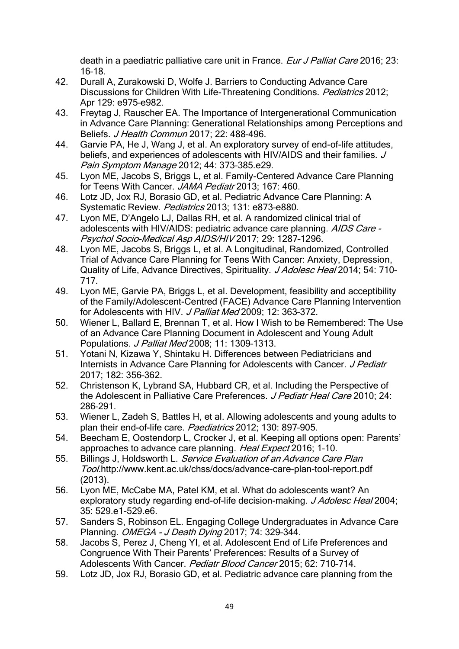death in a paediatric palliative care unit in France. Eur J Palliat Care 2016; 23: 16–18.

- 42. Durall A, Zurakowski D, Wolfe J. Barriers to Conducting Advance Care Discussions for Children With Life-Threatening Conditions. Pediatrics 2012; Apr 129: e975–e982.
- 43. Freytag J, Rauscher EA. The Importance of Intergenerational Communication in Advance Care Planning: Generational Relationships among Perceptions and Beliefs. J Health Commun 2017; 22: 488–496.
- 44. Garvie PA, He J, Wang J, et al. An exploratory survey of end-of-life attitudes, beliefs, and experiences of adolescents with HIV/AIDS and their families. J Pain Symptom Manage 2012; 44: 373–385.e29.
- 45. Lyon ME, Jacobs S, Briggs L, et al. Family-Centered Advance Care Planning for Teens With Cancer. JAMA Pediatr 2013; 167: 460.
- 46. Lotz JD, Jox RJ, Borasio GD, et al. Pediatric Advance Care Planning: A Systematic Review. Pediatrics 2013: 131: e873-e880.
- 47. Lyon ME, D'Angelo LJ, Dallas RH, et al. A randomized clinical trial of adolescents with HIV/AIDS: pediatric advance care planning. AIDS Care -Psychol Socio-Medical Asp AIDS/HIV 2017; 29: 1287–1296.
- 48. Lyon ME, Jacobs S, Briggs L, et al. A Longitudinal, Randomized, Controlled Trial of Advance Care Planning for Teens With Cancer: Anxiety, Depression, Quality of Life, Advance Directives, Spirituality. J Adolesc Heal 2014; 54: 710-717.
- 49. Lyon ME, Garvie PA, Briggs L, et al. Development, feasibility and acceptibility of the Family/Adolescent-Centred (FACE) Advance Care Planning Intervention for Adolescents with HIV. J Palliat Med 2009; 12: 363-372.
- 50. Wiener L, Ballard E, Brennan T, et al. How I Wish to be Remembered: The Use of an Advance Care Planning Document in Adolescent and Young Adult Populations. J Palliat Med 2008; 11: 1309–1313.
- 51. Yotani N, Kizawa Y, Shintaku H. Differences between Pediatricians and Internists in Advance Care Planning for Adolescents with Cancer. J Pediatr 2017; 182: 356–362.
- 52. Christenson K, Lybrand SA, Hubbard CR, et al. Including the Perspective of the Adolescent in Palliative Care Preferences. J Pediatr Heal Care 2010; 24: 286–291.
- 53. Wiener L, Zadeh S, Battles H, et al. Allowing adolescents and young adults to plan their end-of-life care. Paediatrics 2012; 130: 897-905.
- 54. Beecham E, Oostendorp L, Crocker J, et al. Keeping all options open: Parents' approaches to advance care planning. Heal Expect 2016; 1–10.
- 55. Billings J, Holdsworth L. Service Evaluation of an Advance Care Plan Tool.http://www.kent.ac.uk/chss/docs/advance-care-plan-tool-report.pdf (2013).
- 56. Lyon ME, McCabe MA, Patel KM, et al. What do adolescents want? An exploratory study regarding end-of-life decision-making. J Adolesc Heal 2004; 35: 529.e1-529.e6.
- 57. Sanders S, Robinson EL. Engaging College Undergraduates in Advance Care Planning. OMEGA - J Death Dying 2017; 74: 329–344.
- 58. Jacobs S, Perez J, Cheng YI, et al. Adolescent End of Life Preferences and Congruence With Their Parents' Preferences: Results of a Survey of Adolescents With Cancer. Pediatr Blood Cancer 2015; 62: 710–714.
- 59. Lotz JD, Jox RJ, Borasio GD, et al. Pediatric advance care planning from the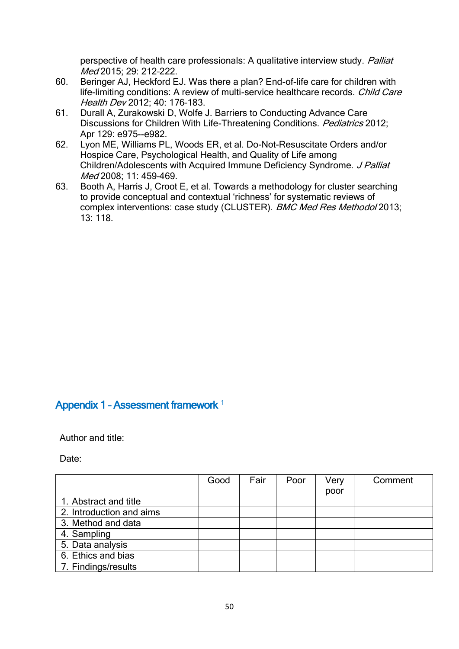perspective of health care professionals: A qualitative interview study. Palliat Med 2015; 29: 212–222.

- 60. Beringer AJ, Heckford EJ. Was there a plan? End-of-life care for children with life-limiting conditions: A review of multi-service healthcare records. Child Care Health Dev 2012; 40: 176–183.
- 61. Durall A, Zurakowski D, Wolfe J. Barriers to Conducting Advance Care Discussions for Children With Life-Threatening Conditions. Pediatrics 2012; Apr 129: e975--e982.
- 62. Lyon ME, Williams PL, Woods ER, et al. Do-Not-Resuscitate Orders and/or Hospice Care, Psychological Health, and Quality of Life among Children/Adolescents with Acquired Immune Deficiency Syndrome. J Palliat Med 2008; 11: 459–469.
- 63. Booth A, Harris J, Croot E, et al. Towards a methodology for cluster searching to provide conceptual and contextual 'richness' for systematic reviews of complex interventions: case study (CLUSTER). BMC Med Res Methodol 2013; 13: 118.

# Appendix 1 - Assessment framework<sup>1</sup>

Author and title:

Date:

|                          | Good | Fair | Poor | Very | Comment |
|--------------------------|------|------|------|------|---------|
|                          |      |      |      | poor |         |
| 1. Abstract and title    |      |      |      |      |         |
| 2. Introduction and aims |      |      |      |      |         |
| 3. Method and data       |      |      |      |      |         |
| 4. Sampling              |      |      |      |      |         |
| 5. Data analysis         |      |      |      |      |         |
| 6. Ethics and bias       |      |      |      |      |         |
| 7. Findings/results      |      |      |      |      |         |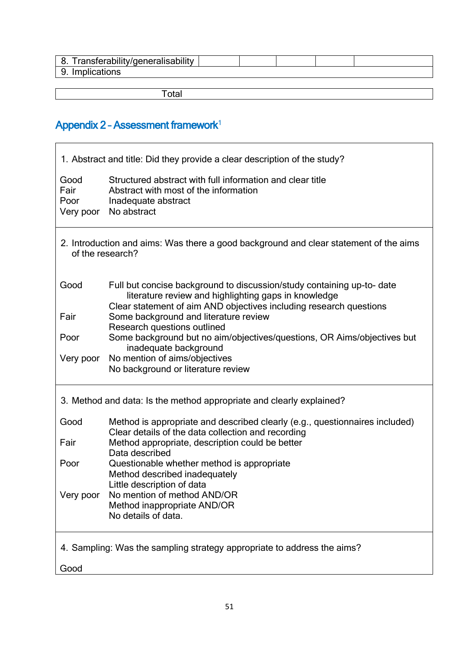| 8. Transferability/generalisability |  |  |  |
|-------------------------------------|--|--|--|
| 9. Implications                     |  |  |  |
|                                     |  |  |  |
| `otal                               |  |  |  |

# Appendix  $2$  - Assessment framework<sup>1</sup>

F

| 1. Abstract and title: Did they provide a clear description of the study?                                 |                                                                                                                                                                                                      |  |  |  |
|-----------------------------------------------------------------------------------------------------------|------------------------------------------------------------------------------------------------------------------------------------------------------------------------------------------------------|--|--|--|
| Good<br>Fair<br>Poor<br>Very poor                                                                         | Structured abstract with full information and clear title<br>Abstract with most of the information<br>Inadequate abstract<br>No abstract                                                             |  |  |  |
| 2. Introduction and aims: Was there a good background and clear statement of the aims<br>of the research? |                                                                                                                                                                                                      |  |  |  |
| Good                                                                                                      | Full but concise background to discussion/study containing up-to- date<br>literature review and highlighting gaps in knowledge<br>Clear statement of aim AND objectives including research questions |  |  |  |
| Fair                                                                                                      | Some background and literature review<br>Research questions outlined                                                                                                                                 |  |  |  |
| Poor                                                                                                      | Some background but no aim/objectives/questions, OR Aims/objectives but<br>inadequate background                                                                                                     |  |  |  |
| Very poor                                                                                                 | No mention of aims/objectives<br>No background or literature review                                                                                                                                  |  |  |  |
| 3. Method and data: Is the method appropriate and clearly explained?                                      |                                                                                                                                                                                                      |  |  |  |
| Good                                                                                                      | Method is appropriate and described clearly (e.g., questionnaires included)<br>Clear details of the data collection and recording                                                                    |  |  |  |
| Fair                                                                                                      | Method appropriate, description could be better<br>Data described                                                                                                                                    |  |  |  |
| Poor                                                                                                      | Questionable whether method is appropriate<br>Method described inadequately<br>Little description of data                                                                                            |  |  |  |
| Very poor                                                                                                 | No mention of method AND/OR<br>Method inappropriate AND/OR<br>No details of data.                                                                                                                    |  |  |  |
| 4. Sampling: Was the sampling strategy appropriate to address the aims?                                   |                                                                                                                                                                                                      |  |  |  |
| Good                                                                                                      |                                                                                                                                                                                                      |  |  |  |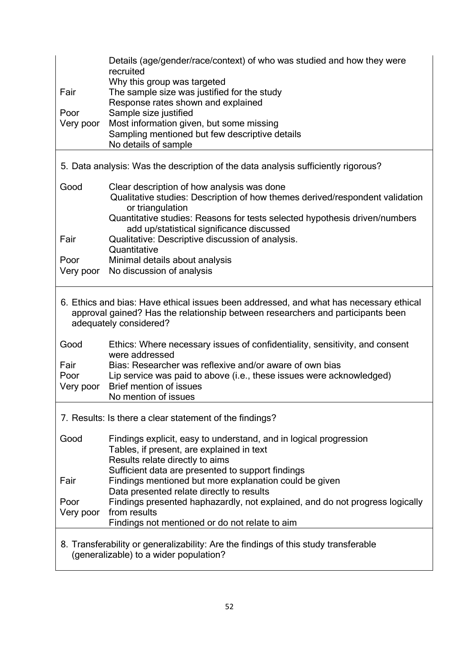|                                                                                                                               | Details (age/gender/race/context) of who was studied and how they were<br>recruited                                                                                                                                                                                                                                                                                                                                                                                                               |  |  |  |
|-------------------------------------------------------------------------------------------------------------------------------|---------------------------------------------------------------------------------------------------------------------------------------------------------------------------------------------------------------------------------------------------------------------------------------------------------------------------------------------------------------------------------------------------------------------------------------------------------------------------------------------------|--|--|--|
|                                                                                                                               | Why this group was targeted                                                                                                                                                                                                                                                                                                                                                                                                                                                                       |  |  |  |
| Fair                                                                                                                          | The sample size was justified for the study                                                                                                                                                                                                                                                                                                                                                                                                                                                       |  |  |  |
| Poor                                                                                                                          | Response rates shown and explained<br>Sample size justified                                                                                                                                                                                                                                                                                                                                                                                                                                       |  |  |  |
| Very poor                                                                                                                     | Most information given, but some missing                                                                                                                                                                                                                                                                                                                                                                                                                                                          |  |  |  |
|                                                                                                                               | Sampling mentioned but few descriptive details                                                                                                                                                                                                                                                                                                                                                                                                                                                    |  |  |  |
|                                                                                                                               | No details of sample                                                                                                                                                                                                                                                                                                                                                                                                                                                                              |  |  |  |
| 5. Data analysis: Was the description of the data analysis sufficiently rigorous?                                             |                                                                                                                                                                                                                                                                                                                                                                                                                                                                                                   |  |  |  |
| Good                                                                                                                          | Clear description of how analysis was done                                                                                                                                                                                                                                                                                                                                                                                                                                                        |  |  |  |
|                                                                                                                               | Qualitative studies: Description of how themes derived/respondent validation<br>or triangulation                                                                                                                                                                                                                                                                                                                                                                                                  |  |  |  |
|                                                                                                                               | Quantitative studies: Reasons for tests selected hypothesis driven/numbers                                                                                                                                                                                                                                                                                                                                                                                                                        |  |  |  |
|                                                                                                                               | add up/statistical significance discussed                                                                                                                                                                                                                                                                                                                                                                                                                                                         |  |  |  |
| Fair                                                                                                                          | Qualitative: Descriptive discussion of analysis.<br>Quantitative                                                                                                                                                                                                                                                                                                                                                                                                                                  |  |  |  |
| Poor                                                                                                                          | Minimal details about analysis                                                                                                                                                                                                                                                                                                                                                                                                                                                                    |  |  |  |
| Very poor                                                                                                                     | No discussion of analysis                                                                                                                                                                                                                                                                                                                                                                                                                                                                         |  |  |  |
| Good<br>Fair<br>Poor<br>Very poor                                                                                             | 6. Ethics and bias: Have ethical issues been addressed, and what has necessary ethical<br>approval gained? Has the relationship between researchers and participants been<br>adequately considered?<br>Ethics: Where necessary issues of confidentiality, sensitivity, and consent<br>were addressed<br>Bias: Researcher was reflexive and/or aware of own bias<br>Lip service was paid to above (i.e., these issues were acknowledged)<br><b>Brief mention of issues</b><br>No mention of issues |  |  |  |
| 7. Results: Is there a clear statement of the findings?                                                                       |                                                                                                                                                                                                                                                                                                                                                                                                                                                                                                   |  |  |  |
| Good                                                                                                                          | Findings explicit, easy to understand, and in logical progression<br>Tables, if present, are explained in text<br>Results relate directly to aims<br>Sufficient data are presented to support findings                                                                                                                                                                                                                                                                                            |  |  |  |
| Fair                                                                                                                          | Findings mentioned but more explanation could be given                                                                                                                                                                                                                                                                                                                                                                                                                                            |  |  |  |
| Poor                                                                                                                          | Data presented relate directly to results<br>Findings presented haphazardly, not explained, and do not progress logically                                                                                                                                                                                                                                                                                                                                                                         |  |  |  |
| Very poor                                                                                                                     | from results                                                                                                                                                                                                                                                                                                                                                                                                                                                                                      |  |  |  |
|                                                                                                                               | Findings not mentioned or do not relate to aim                                                                                                                                                                                                                                                                                                                                                                                                                                                    |  |  |  |
| 8. Transferability or generalizability: Are the findings of this study transferable<br>(generalizable) to a wider population? |                                                                                                                                                                                                                                                                                                                                                                                                                                                                                                   |  |  |  |